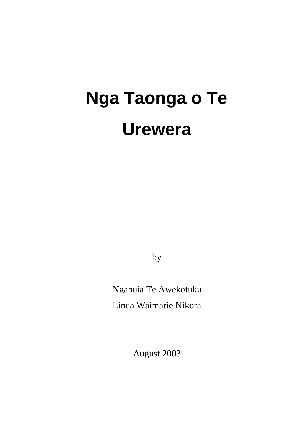# **Nga Taonga o Te Urewera**

by

Ngahuia Te Awekotuku Linda Waimarie Nikora

August 2003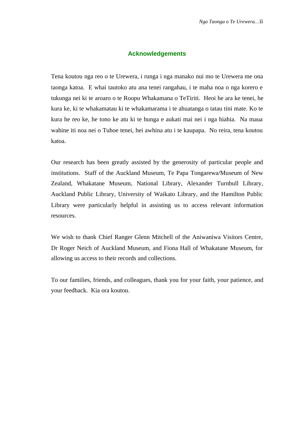#### **Acknowledgements**

Tena koutou nga reo o te Urewera, i runga i nga manako nui mo te Urewera me ona taonga katoa. E whai tautoko atu ana tenei rangahau, i te maha noa o nga korero e tukunga nei ki te aroaro o te Roopu Whakamana o TeTiriti. Heoi he ara ke tenei, he kura ke, ki te whakamatau ki te whakamarama i te ahuatanga o tatau tini mate. Ko te kura he reo ke, he tono ke atu ki te hunga e aukati mai nei i nga hiahia. Na maua wahine iti noa nei o Tuhoe tenei, hei awhina atu i te kaupapa. No reira, tena koutou katoa.

Our research has been greatly assisted by the generosity of particular people and institutions. Staff of the Auckland Museum, Te Papa Tongarewa/Museum of New Zealand, Whakatane Museum, National Library, Alexander Turnbull Library, Auckland Public Library, University of Waikato Library, and the Hamilton Public Library were particularly helpful in assisting us to access relevant information resources.

We wish to thank Chief Ranger Glenn Mitchell of the Aniwaniwa Visitors Centre, Dr Roger Neich of Auckland Museum, and Fiona Hall of Whakatane Museum, for allowing us access to their records and collections.

To our families, friends, and colleagues, thank you for your faith, your patience, and your feedback. Kia ora koutou.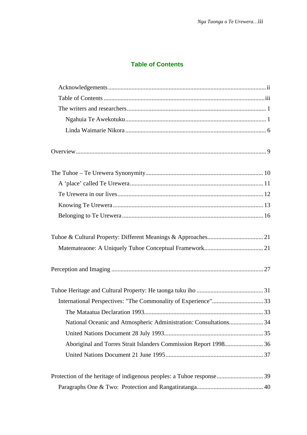# **Table of Contents**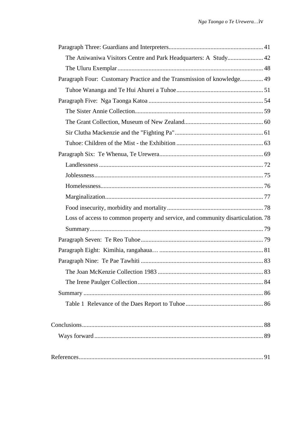| The Aniwaniwa Visitors Centre and Park Headquarters: A Study 42                  |  |
|----------------------------------------------------------------------------------|--|
|                                                                                  |  |
| Paragraph Four: Customary Practice and the Transmission of knowledge 49          |  |
|                                                                                  |  |
|                                                                                  |  |
|                                                                                  |  |
|                                                                                  |  |
|                                                                                  |  |
|                                                                                  |  |
|                                                                                  |  |
|                                                                                  |  |
|                                                                                  |  |
|                                                                                  |  |
|                                                                                  |  |
|                                                                                  |  |
| Loss of access to common property and service, and community disarticulation. 78 |  |
|                                                                                  |  |
|                                                                                  |  |
|                                                                                  |  |
|                                                                                  |  |
|                                                                                  |  |
|                                                                                  |  |
|                                                                                  |  |
|                                                                                  |  |
|                                                                                  |  |
|                                                                                  |  |
|                                                                                  |  |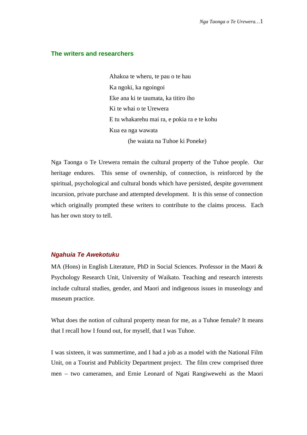#### **The writers and researchers**

Ahakoa te wheru, te pau o te hau Ka ngoki, ka ngoingoi Eke ana ki te taumata, ka titiro iho Ki te whai o te Urewera E tu whakarehu mai ra, e pokia ra e te kohu Kua ea nga wawata (he waiata na Tuhoe ki Poneke)

Nga Taonga o Te Urewera remain the cultural property of the Tuhoe people. Our heritage endures. This sense of ownership, of connection, is reinforced by the spiritual, psychological and cultural bonds which have persisted, despite government incursion, private purchase and attempted development. It is this sense of connection which originally prompted these writers to contribute to the claims process. Each has her own story to tell.

#### **Ngahuia Te Awekotuku**

MA (Hons) in English Literature, PhD in Social Sciences. Professor in the Maori & Psychology Research Unit, University of Waikato. Teaching and research interests include cultural studies, gender, and Maori and indigenous issues in museology and museum practice.

What does the notion of cultural property mean for me, as a Tuhoe female? It means that I recall how I found out, for myself, that I was Tuhoe.

I was sixteen, it was summertime, and I had a job as a model with the National Film Unit, on a Tourist and Publicity Department project. The film crew comprised three men – two cameramen, and Ernie Leonard of Ngati Rangiwewehi as the Maori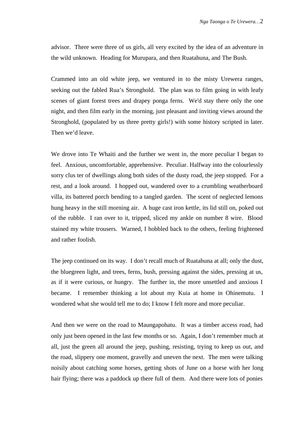advisor. There were three of us girls, all very excited by the idea of an adventure in the wild unknown. Heading for Murupara, and then Ruatahuna, and The Bush.

Crammed into an old white jeep, we ventured in to the misty Urewera ranges, seeking out the fabled Rua's Stronghold. The plan was to film going in with leafy scenes of giant forest trees and drapey ponga ferns. We'd stay there only the one night, and then film early in the morning, just pleasant and inviting views around the Stronghold, (populated by us three pretty girls!) with some history scripted in later. Then we'd leave.

We drove into Te Whaiti and the further we went in, the more peculiar I began to feel. Anxious, uncomfortable, apprehensive. Peculiar. Halfway into the colourlessly sorry clus ter of dwellings along both sides of the dusty road, the jeep stopped. For a rest, and a look around. I hopped out, wandered over to a crumbling weatherboard villa, its battered porch bending to a tangled garden. The scent of neglected lemons hung heavy in the still morning air. A huge cast iron kettle, its lid still on, poked out of the rubble. I ran over to it, tripped, sliced my ankle on number 8 wire. Blood stained my white trousers. Warned, I hobbled back to the others, feeling frightened and rather foolish.

The jeep continued on its way. I don't recall much of Ruatahuna at all; only the dust, the bluegreen light, and trees, ferns, bush, pressing against the sides, pressing at us, as if it were curious, or hungry. The further in, the more unsettled and anxious I became. I remember thinking a lot about my Kuia at home in Ohinemutu. I wondered what she would tell me to do; I know I felt more and more peculiar.

And then we were on the road to Maungapohatu. It was a timber access road, had only just been opened in the last few months or so. Again, I don't remember much at all, just the green all around the jeep, pushing, resisting, trying to keep us out, and the road, slippery one moment, gravelly and uneven the next. The men were talking noisily about catching some horses, getting shots of June on a horse with her long hair flying; there was a paddock up there full of them. And there were lots of ponies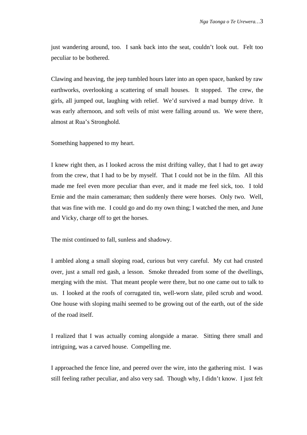just wandering around, too. I sank back into the seat, couldn't look out. Felt too peculiar to be bothered.

Clawing and heaving, the jeep tumbled hours later into an open space, banked by raw earthworks, overlooking a scattering of small houses. It stopped. The crew, the girls, all jumped out, laughing with relief. We'd survived a mad bumpy drive. It was early afternoon, and soft veils of mist were falling around us. We were there, almost at Rua's Stronghold.

Something happened to my heart.

I knew right then, as I looked across the mist drifting valley, that I had to get away from the crew, that I had to be by myself. That I could not be in the film. All this made me feel even more peculiar than ever, and it made me feel sick, too. I told Ernie and the main cameraman; then suddenly there were horses. Only two. Well, that was fine with me. I could go and do my own thing; I watched the men, and June and Vicky, charge off to get the horses.

The mist continued to fall, sunless and shadowy.

I ambled along a small sloping road, curious but very careful. My cut had crusted over, just a small red gash, a lesson. Smoke threaded from some of the dwellings, merging with the mist. That meant people were there, but no one came out to talk to us. I looked at the roofs of corrugated tin, well-worn slate, piled scrub and wood. One house with sloping maihi seemed to be growing out of the earth, out of the side of the road itself.

I realized that I was actually coming alongside a marae. Sitting there small and intriguing, was a carved house. Compelling me.

I approached the fence line, and peered over the wire, into the gathering mist. I was still feeling rather peculiar, and also very sad. Though why, I didn't know. I just felt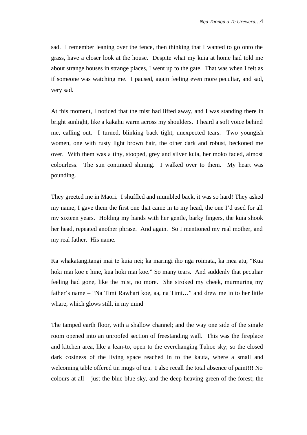sad. I remember leaning over the fence, then thinking that I wanted to go onto the grass, have a closer look at the house. Despite what my kuia at home had told me about strange houses in strange places, I went up to the gate. That was when I felt as if someone was watching me. I paused, again feeling even more peculiar, and sad, very sad.

At this moment, I noticed that the mist had lifted away, and I was standing there in bright sunlight, like a kakahu warm across my shoulders. I heard a soft voice behind me, calling out. I turned, blinking back tight, unexpected tears. Two youngish women, one with rusty light brown hair, the other dark and robust, beckoned me over. With them was a tiny, stooped, grey and silver kuia, her moko faded, almost colourless. The sun continued shining. I walked over to them. My heart was pounding.

They greeted me in Maori. I shuffled and mumbled back, it was so hard! They asked my name; I gave them the first one that came in to my head, the one I'd used for all my sixteen years. Holding my hands with her gentle, barky fingers, the kuia shook her head, repeated another phrase. And again. So I mentioned my real mother, and my real father. His name.

Ka whakatangitangi mai te kuia nei; ka maringi iho nga roimata, ka mea atu, "Kua hoki mai koe e hine, kua hoki mai koe." So many tears. And suddenly that peculiar feeling had gone, like the mist, no more. She stroked my cheek, murmuring my father's name – "Na Timi Rawhari koe, aa, na Timi…" and drew me in to her little whare, which glows still, in my mind

The tamped earth floor, with a shallow channel; and the way one side of the single room opened into an unroofed section of freestanding wall. This was the fireplace and kitchen area, like a lean-to, open to the everchanging Tuhoe sky; so the closed dark cosiness of the living space reached in to the kauta, where a small and welcoming table offered tin mugs of tea. I also recall the total absence of paint!!! No colours at all – just the blue blue sky, and the deep heaving green of the forest; the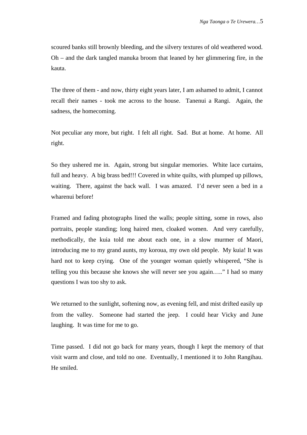scoured banks still brownly bleeding, and the silvery textures of old weathered wood. Oh – and the dark tangled manuka broom that leaned by her glimmering fire, in the kauta.

The three of them - and now, thirty eight years later, I am ashamed to admit, I cannot recall their names - took me across to the house. Tanenui a Rangi. Again, the sadness, the homecoming.

Not peculiar any more, but right. I felt all right. Sad. But at home. At home. All right.

So they ushered me in. Again, strong but singular memories. White lace curtains, full and heavy. A big brass bed!!! Covered in white quilts, with plumped up pillows, waiting. There, against the back wall. I was amazed. I'd never seen a bed in a wharenui before!

Framed and fading photographs lined the walls; people sitting, some in rows, also portraits, people standing; long haired men, cloaked women. And very carefully, methodically, the kuia told me about each one, in a slow murmer of Maori, introducing me to my grand aunts, my koroua, my own old people. My kuia! It was hard not to keep crying. One of the younger woman quietly whispered, "She is telling you this because she knows she will never see you again….." I had so many questions I was too shy to ask.

We returned to the sunlight, softening now, as evening fell, and mist drifted easily up from the valley. Someone had started the jeep. I could hear Vicky and June laughing. It was time for me to go.

Time passed. I did not go back for many years, though I kept the memory of that visit warm and close, and told no one. Eventually, I mentioned it to John Rangihau. He smiled.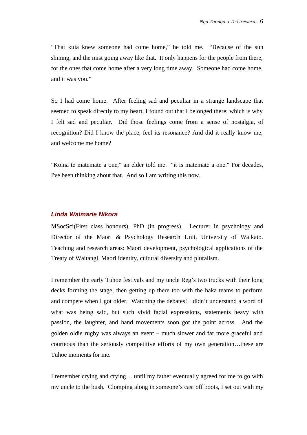"That kuia knew someone had come home," he told me. "Because of the sun shining, and the mist going away like that. It only happens for the people from there, for the ones that come home after a very long time away. Someone had come home, and it was you."

So I had come home. After feeling sad and peculiar in a strange landscape that seemed to speak directly to my heart, I found out that I belonged there; which is why I felt sad and peculiar. Did those feelings come from a sense of nostalgia, of recognition? Did I know the place, feel its resonance? And did it really know me, and welcome me home?

"Koina te matemate a one," an elder told me. "it is matemate a one." For decades, I've been thinking about that. And so I am writing this now.

#### **Linda Waimarie Nikora**

MSocSci(First class honours), PhD (in progress). Lecturer in psychology and Director of the Maori & Psychology Research Unit, University of Waikato. Teaching and research areas: Maori development, psychological applications of the Treaty of Waitangi, Maori identity, cultural diversity and pluralism.

I remember the early Tuhoe festivals and my uncle Reg's two trucks with their long decks forming the stage; then getting up there too with the haka teams to perform and compete when I got older. Watching the debates! I didn't understand a word of what was being said, but such vivid facial expressions, statements heavy with passion, the laughter, and hand movements soon got the point across. And the golden oldie rugby was always an event – much slower and far more graceful and courteous than the seriously competitive efforts of my own generation…these are Tuhoe moments for me.

I remember crying and crying… until my father eventually agreed for me to go with my uncle to the bush. Clomping along in someone's cast off boots, I set out with my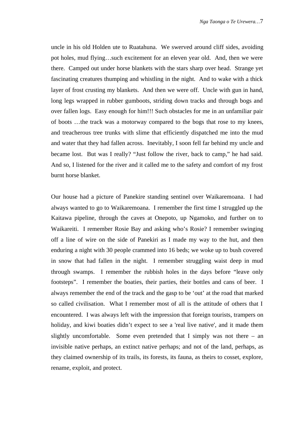uncle in his old Holden ute to Ruatahuna. We swerved around cliff sides, avoiding pot holes, mud flying…such excitement for an eleven year old. And, then we were there. Camped out under horse blankets with the stars sharp over head. Strange yet fascinating creatures thumping and whistling in the night. And to wake with a thick layer of frost crusting my blankets. And then we were off. Uncle with gun in hand, long legs wrapped in rubber gumboots, striding down tracks and through bogs and over fallen logs. Easy enough for him!!! Such obstacles for me in an unfamiliar pair of boots …the track was a motorway compared to the bogs that rose to my knees, and treacherous tree trunks with slime that efficiently dispatched me into the mud and water that they had fallen across. Inevitably, I soon fell far behind my uncle and became lost. But was I really? "Just follow the river, back to camp," he had said. And so, I listened for the river and it called me to the safety and comfort of my frost burnt horse blanket.

Our house had a picture of Panekire standing sentinel over Waikaremoana. I had always wanted to go to Waikaremoana. I remember the first time I struggled up the Kaitawa pipeline, through the caves at Onepoto, up Ngamoko, and further on to Waikareiti. I remember Rosie Bay and asking who's Rosie? I remember swinging off a line of wire on the side of Panekiri as I made my way to the hut, and then enduring a night with 30 people crammed into 16 beds; we woke up to bush covered in snow that had fallen in the night. I remember struggling waist deep in mud through swamps. I remember the rubbish holes in the days before "leave only footsteps". I remember the boaties, their parties, their bottles and cans of beer. I always remember the end of the track and the gasp to be 'out' at the road that marked so called civilisation. What I remember most of all is the attitude of others that I encountered. I was always left with the impression that foreign tourists, trampers on holiday, and kiwi boaties didn't expect to see a 'real live native', and it made them slightly uncomfortable. Some even pretended that I simply was not there – an invisible native perhaps, an extinct native perhaps; and not of the land, perhaps, as they claimed ownership of its trails, its forests, its fauna, as theirs to cosset, explore, rename, exploit, and protect.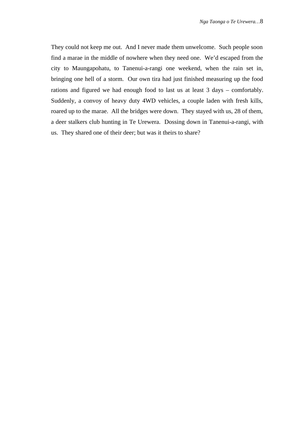They could not keep me out. And I never made them unwelcome. Such people soon find a marae in the middle of nowhere when they need one. We'd escaped from the city to Maungapohatu, to Tanenui-a-rangi one weekend, when the rain set in, bringing one hell of a storm. Our own tira had just finished measuring up the food rations and figured we had enough food to last us at least 3 days – comfortably. Suddenly, a convoy of heavy duty 4WD vehicles, a couple laden with fresh kills, roared up to the marae. All the bridges were down. They stayed with us, 28 of them, a deer stalkers club hunting in Te Urewera. Dossing down in Tanenui-a-rangi, with us. They shared one of their deer; but was it theirs to share?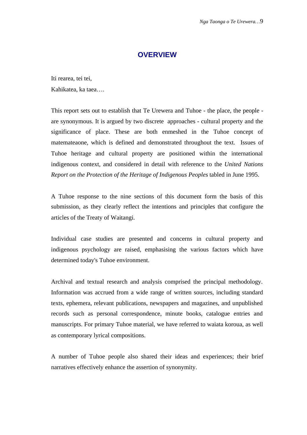## **OVERVIEW**

Iti rearea, tei tei, Kahikatea, ka taea….

This report sets out to establish that Te Urewera and Tuhoe - the place, the people are synonymous. It is argued by two discrete approaches - cultural property and the significance of place. These are both enmeshed in the Tuhoe concept of matemateaone, which is defined and demonstrated throughout the text. Issues of Tuhoe heritage and cultural property are positioned within the international indigenous context, and considered in detail with reference to the *United Nations Report on the Protection of the Heritage of Indigenous Peoples* tabled in June 1995.

A Tuhoe response to the nine sections of this document form the basis of this submission, as they clearly reflect the intentions and principles that configure the articles of the Treaty of Waitangi.

Individual case studies are presented and concerns in cultural property and indigenous psychology are raised, emphasising the various factors which have determined today's Tuhoe environment.

Archival and textual research and analysis comprised the principal methodology. Information was accrued from a wide range of written sources, including standard texts, ephemera, relevant publications, newspapers and magazines, and unpublished records such as personal correspondence, minute books, catalogue entries and manuscripts. For primary Tuhoe material, we have referred to waiata koroua, as well as contemporary lyrical compositions.

A number of Tuhoe people also shared their ideas and experiences; their brief narratives effectively enhance the assertion of synonymity.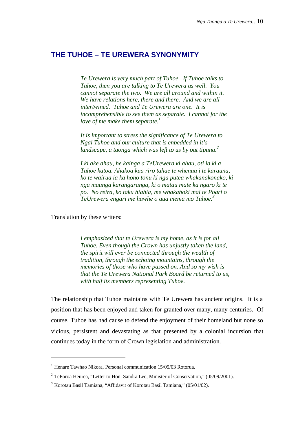## **THE TUHOE – TE UREWERA SYNONYMITY**

*Te Urewera is very much part of Tuhoe. If Tuhoe talks to Tuhoe, then you are talking to Te Urewera as well. You cannot separate the two. We are all around and within it. We have relations here, there and there. And we are all intertwined. Tuhoe and Te Urewera are one. It is incomprehensible to see them as separate. I cannot for the love of me make them separate.*<sup>1</sup>

*It is important to stress the significance of Te Urewera to Ngai Tuhoe and our culture that is enbedded in it's landscape, a taonga which was left to us by out tipuna.<sup>2</sup>*

*I ki ake ahau, he kainga a TeUrewera ki ahau, oti ia ki a Tuhoe katoa. Ahakoa kua riro tahae te whenua i te karauna, ko te wairua ia ka hono tonu ki nga putea whakanakonako, ki nga maunga karangaranga, ki o matau mate ka ngaro ki te po. No reira, ko taku hiahia, me whakahoki mai te Poari o TeUrewera engari me hawhe o aua mema mo Tuhoe.<sup>3</sup>*

Translation by these writers:

j

*I emphasized that te Urewera is my home, as it is for all Tuhoe. Even though the Crown has unjustly taken the land, the spirit will ever be connected through the wealth of tradition, through the echoing mountains, through the memories of those who have passed on. And so my wish is that the Te Urewera National Park Board be returned to us, with half its members representing Tuhoe.*

The relationship that Tuhoe maintains with Te Urewera has ancient origins. It is a position that has been enjoyed and taken for granted over many, many centuries. Of course, Tuhoe has had cause to defend the enjoyment of their homeland but none so vicious, persistent and devastating as that presented by a colonial incursion that continues today in the form of Crown legislation and administration.

 $1$  Henare Tawhao Nikora, Personal communication 15/05/03 Rotorua.

<sup>&</sup>lt;sup>2</sup> TePoroa Heurea, "Letter to Hon. Sandra Lee, Minister of Conservation,"  $(05/09/2001)$ .

<sup>&</sup>lt;sup>3</sup> Korotau Basil Tamiana, "Affidavit of Korotau Basil Tamiana," (05/01/02).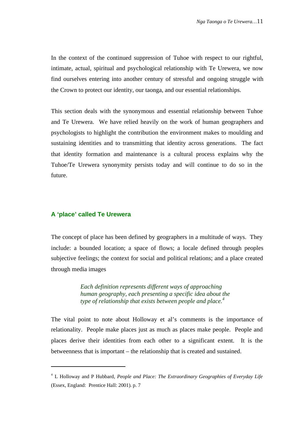In the context of the continued suppression of Tuhoe with respect to our rightful, intimate, actual, spiritual and psychological relationship with Te Urewera, we now find ourselves entering into another century of stressful and ongoing struggle with the Crown to protect our identity, our taonga, and our essential relationships.

This section deals with the synonymous and essential relationship between Tuhoe and Te Urewera. We have relied heavily on the work of human geographers and psychologists to highlight the contribution the environment makes to moulding and sustaining identities and to transmitting that identity across generations. The fact that identity formation and maintenance is a cultural process explains why the Tuhoe/Te Urewera synonymity persists today and will continue to do so in the future.

#### **A 'place' called Te Urewera**

l

The concept of place has been defined by geographers in a multitude of ways. They include: a bounded location; a space of flows; a locale defined through peoples subjective feelings; the context for social and political relations; and a place created through media images

> *Each definition represents different ways of approaching human geography, each presenting a specific idea about the type of relationship that exists between people and place.<sup>4</sup>*

The vital point to note about Holloway et al's comments is the importance of relationality. People make places just as much as places make people. People and places derive their identities from each other to a significant extent. It is the betweenness that is important – the relationship that is created and sustained.

<sup>4</sup> L Holloway and P Hubbard, *People and Place: The Extraordinary Geographies of Everyday Life* (Essex, England: Prentice Hall: 2001). p. 7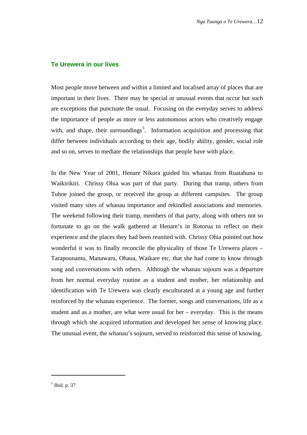#### **Te Urewera in our lives**

Most people move between and within a limited and localised array of places that are important in their lives. There may be special or unusual events that occur but such are exceptions that punctuate the usual. Focusing on the everyday serves to address the importance of people as more or less autonomous actors who creatively engage with, and shape, their surroundings<sup>5</sup>. Information acquisition and processing that differ between individuals according to their age, bodily ability, gender, social role and so on, serves to mediate the relationships that people have with place.

In the New Year of 2001, Henare Nikora guided his whanau from Ruatahuna to Waikirikiri. Chrissy Ohia was part of that party. During that tramp, others from Tuhoe joined the group, or received the group at different campsites. The group visited many sites of whanau importance and rekindled associations and memories. The weekend following their tramp, members of that party, along with others not so fortunate to go on the walk gathered at Henare's in Rotorua to reflect on their experience and the places they had been reunited with. Chrissy Ohia pointed out how wonderful it was to finally reconcile the physicality of those Te Urewera places – Tarapounamu, Manawaru, Ohaua, Waikare etc, that she had come to know through song and conversations with others. Although the whanau sojourn was a departure from her normal everyday routine as a student and mother, her relationship and identification with Te Urewera was clearly enculturated at a young age and further reinforced by the whanau experience. The former, songs and conversations, life as a student and as a mother, are what were usual for her – everyday. This is the means through which she acquired information and developed her sense of knowing place. The unusual event, the whanau's sojourn, served to reinforced this sense of knowing.

<sup>5</sup> Ibid. p. 37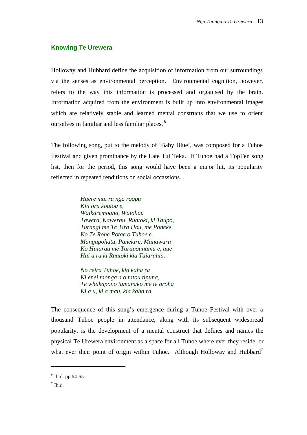#### **Knowing Te Urewera**

Holloway and Hubbard define the acquisition of information from our surroundings via the senses as environmental perception. Environmental cognition, however, refers to the way this information is processed and organised by the brain. Information acquired from the environment is built up into environmental images which are relatively stable and learned mental constructs that we use to orient ourselves in familiar and less familiar places. <sup>6</sup>

The following song, put to the melody of 'Baby Blue', was composed for a Tuhoe Festival and given prominance by the Late Tui Teka. If Tuhoe had a TopTen song list, then for the period, this song would have been a major hit, its popularity reflected in repeated renditions on social occassions.

> *Haere mai ra nga roopu Kia ora koutou e, Waikaremoana, Waiohau Tawera, Kawerau, Ruatoki, ki Taupo, Turangi me Te Tira Hou, me Poneke. Ko Te Rohe Potae o Tuhoe e Mangapohatu, Panekire, Manawaru Ko Huiarau me Tarapounamu e, aue Hui a ra ki Ruatoki kia Taiarahia.*

> *No reira Tuhoe, kia kaha ra Ki enei taonga a o tatou tipuna, Te whakapono tumanako me te aroha Ki a u, ki a mau, kia kaha ra.*

The consequence of this song's emergence during a Tuhoe Festival with over a thousand Tuhoe people in attendance, along with its subsequent widespread popularity, is the development of a mental construct that defines and names the physical Te Urewera environment as a space for all Tuhoe where ever they reside, or what ever their point of origin within Tuhoe. Although Holloway and Hubbard<sup>7</sup>

 $6$  Ibid. pp 64-65

 $<sup>7</sup>$  Ibid.</sup>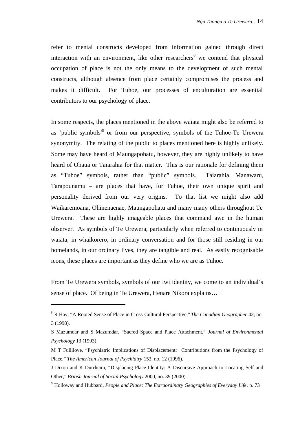refer to mental constructs developed from information gained through direct interaction with an environment, like other researchers  $\delta$  we contend that physical occupation of place is not the only means to the development of such mental constructs, although absence from place certainly compromises the process and makes it difficult. For Tuhoe, our processes of enculturation are essential contributors to our psychology of place.

In some respects, the places mentioned in the above waiata might also be referred to as 'public symbols'<sup>9</sup> or from our perspective, symbols of the Tuhoe-Te Urewera synonymity. The relating of the public to places mentioned here is highly unlikely. Some may have heard of Maungapohatu, however, they are highly unlikely to have heard of Ohaua or Taiarahia for that matter. This is our rationale for defining them as "Tuhoe" symbols, rather than "public" symbols. Taiarahia, Manawaru, Tarapounamu – are places that have, for Tuhoe, their own unique spirit and personality derived from our very origins. To that list we might also add Waikaremoana, Ohinenaenae, Maungapohatu and many many others throughout Te Urewera. These are highly imageable places that command awe in the human observer. As symbols of Te Urewera, particularly when referred to continuously in waiata, in whaikorero, in ordinary conversation and for those still residing in our homelands, in our ordinary lives, they are tangible and real. As easily recognisable icons, these places are important as they define who we are as Tuhoe.

From Te Urewera symbols, symbols of our iwi identity, we come to an individual's sense of place. Of being in Te Urewera, Henare Nikora explains…

<sup>8</sup> R Hay, "A Rooted Sense of Place in Cross-Cultural Perspective," *The Canadian Geographer* 42, no. 3 (1998).

S Mazumdar and S Mazumdar, "Sacred Space and Place Attachment," *Journal of Environmental Psychology* 13 (1993).

M T Fullilove, "Psychiatric Implications of Displacement: Contributions from the Psychology of Place," *The American Journal of Psychiatry* 153, no. 12 (1996).

J Dixon and K Durrheim, "Displacing Place-Identity: A Discursive Approach to Locating Self and Other," *British Journal of Social Psychology* 2000, no. 39 (2000).

<sup>9</sup> Holloway and Hubbard, *People and Place: The Extraordinary Geographies of Everyday Life*. p. 73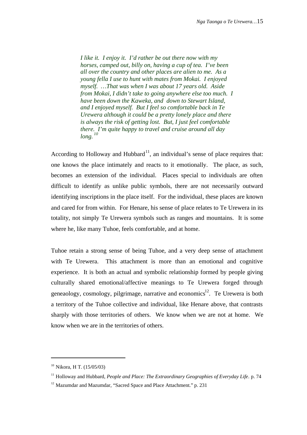*I like it. I enjoy it. I'd rather be out there now with my horses, camped out, billy on, having a cup of tea. I've been all over the country and other places are alien to me. As a young fella I use to hunt with mates from Mokai. I enjoyed myself. …That was when I was about 17 years old. Aside from Mokai, I didn't take to going anywhere else too much. I have been down the Kaweka, and down to Stewart Island, and I enjoyed myself. But I feel so comfortable back in Te Urewera although it could be a pretty lonely place and there is always the risk of getting lost. But, I just feel comfortable there. I'm quite happy to travel and cruise around all day long. <sup>10</sup>*

According to Holloway and Hubbard<sup>11</sup>, an individual's sense of place requires that: one knows the place intimately and reacts to it emotionally. The place, as such, becomes an extension of the individual. Places special to individuals are often difficult to identify as unlike public symbols, there are not necessarily outward identifying inscriptions in the place itself. For the individual, these places are known and cared for from within. For Henare, his sense of place relates to Te Urewera in its totality, not simply Te Urewera symbols such as ranges and mountains. It is some where he, like many Tuhoe, feels comfortable, and at home.

Tuhoe retain a strong sense of being Tuhoe, and a very deep sense of attachment with Te Urewera. This attachment is more than an emotional and cognitive experience. It is both an actual and symbolic relationship formed by people giving culturally shared emotional/affective meanings to Te Urewera forged through geneaology, cosmology, pilgrimage, narrative and economics $^{12}$ . Te Urewera is both a territory of the Tuhoe collective and individual, like Henare above, that contrasts sharply with those territories of others. We know when we are not at home. We know when we are in the territories of others.

 $10$  Nikora, H T. (15/05/03)

<sup>&</sup>lt;sup>11</sup> Holloway and Hubbard, *People and Place: The Extraordinary Geographies of Everyday Life*. p. 74

 $12$  Mazumdar and Mazumdar, "Sacred Space and Place Attachment." p. 231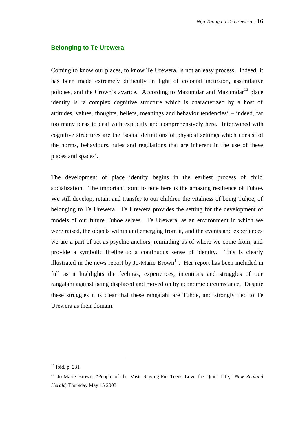#### **Belonging to Te Urewera**

Coming to know our places, to know Te Urewera, is not an easy process. Indeed, it has been made extremely difficulty in light of colonial incursion, assimilative policies, and the Crown's avarice. According to Mazumdar and Mazumdar<sup>13</sup> place identity is 'a complex cognitive structure which is characterized by a host of attitudes, values, thoughts, beliefs, meanings and behavior tendencies' – indeed, far too many ideas to deal with explicitly and comprehensively here. Intertwined with cognitive structures are the 'social definitions of physical settings which consist of the norms, behaviours, rules and regulations that are inherent in the use of these places and spaces'.

The development of place identity begins in the earliest process of child socialization. The important point to note here is the amazing resilience of Tuhoe. We still develop, retain and transfer to our children the vitalness of being Tuhoe, of belonging to Te Urewera. Te Urewera provides the setting for the development of models of our future Tuhoe selves. Te Urewera, as an environment in which we were raised, the objects within and emerging from it, and the events and experiences we are a part of act as psychic anchors, reminding us of where we come from, and provide a symbolic lifeline to a continuous sense of identity. This is clearly illustrated in the news report by Jo-Marie Brown<sup>14</sup>. Her report has been included in full as it highlights the feelings, experiences, intentions and struggles of our rangatahi against being displaced and moved on by economic circumstance. Despite these struggles it is clear that these rangatahi are Tuhoe, and strongly tied to Te Urewera as their domain.

<sup>&</sup>lt;sup>13</sup> Ibid. p. 231

<sup>&</sup>lt;sup>14</sup> Jo-Marie Brown, "People of the Mist: Staying-Put Teens Love the Quiet Life," *New Zealand Herald*, Thursday May 15 2003.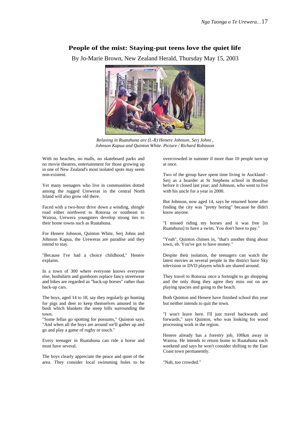#### **People of the mist: Staying-put teens love the quiet life**

By Jo-Marie Brown, New Zealand Herald, Thursday May 15, 2003



*Relaxing in Ruatahuna are (L-R) Henere Johnson, Serj Johns , Johnson Kapua and Quinton White. Picture / Richard Robinson*

With no beaches, no malls, no skateboard parks and no movie theatres, entertainment for those growing up in one of New Zealand's most isolated spots may seem non-existent.

Yet many teenagers who live in communities dotted among the rugged Ureweras in the central North Island will also grow old there.

Faced with a two-hour drive down a winding, shingle road either northwest to Rotorua or southeast to Wairoa, Urewera youngsters develop strong ties to their home towns such as Ruatahuna.

For Henere Johnson, Quinton White, Serj Johns and Johnson Kapua, the Ureweras are paradise and they intend to stay.

"Because I've had a choice childhood," Henere explains.

In a town of 300 where everyone knows everyone else, bushshirts and gumboots replace fancy streetwear and bikes are regarded as "back-up horses" rather than back-up cars.

The boys, aged 14 to 18, say they regularly go hunting for pigs and deer to keep themselves amused in the bush which blankets the steep hills surrounding the town.

"Some fellas go spotting for possums," Quinton says. "And when all the boys are around we'll gather up and go and play a game of rugby or touch."

Every teenager in Ruatahuna can ride a horse and most have several.

The boys clearly appreciate the peace and quiet of the area. They consider local swimming holes to be overcrowded in summer if more than 10 people turn up at once.

Two of the group have spent time living in Auckland - Seri as a boarder at St Stephens school in Bombay before it closed last year; and Johnson, who went to live with his uncle for a year in 2000.

But Johnson, now aged 14, says he returned home after finding the city was "pretty boring" because he didn't know anyone.

"I missed riding my horses and it was free [in Ruatahuna] to have a swim. You don't have to pay."

"Yeah", Quinton chimes in, "that's another thing about town, eh. You've got to have money."

Despite their isolation, the teenagers can watch the latest movies as several people in the district have Sky television or DVD players which are shared around.

They travel to Rotorua once a fortnight to go shopping and the only thing they agree they miss out on are playing spacies and going to the beach.

Both Quinton and Henere have finished school this year but neither intends to quit the town.

"I won't leave here. I'll just travel backwards and forwards," says Quinton, who was looking for wood processing work in the region.

Henere already has a forestry job, 100km away in Wairoa. He intends to return home to Ruatahuna each weekend and says he won't consider shifting to the East Coast town permanently.

"Nah, too crowded."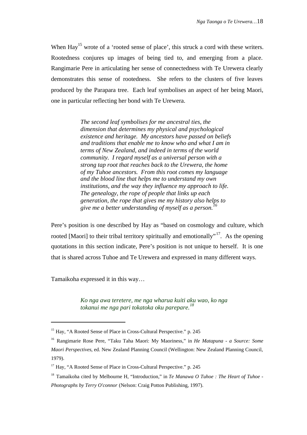When Hay<sup>15</sup> wrote of a 'rooted sense of place', this struck a cord with these writers. Rootedness conjures up images of being tied to, and emerging from a place. Rangimarie Pere in articulating her sense of connectedness with Te Urewera clearly demonstrates this sense of rootedness. She refers to the clusters of five leaves produced by the Parapara tree. Each leaf symbolises an aspect of her being Maori, one in particular reflecting her bond with Te Urewera.

> *The second leaf symbolises for me ancestral ties, the dimension that determines my physical and psychological existence and heritage. My ancestors have passed on beliefs and traditions that enable me to know who and what I am in terms of New Zealand, and indeed in terms of the world community. I regard myself as a universal person with a strong tap root that reaches back to the Urewera, the home of my Tuhoe ancestors. From this root comes my language and the blood line that helps me to understand my own institutions, and the way they influence my approach to life. The genealogy, the rope of people that links up each generation, the rope that gives me my history also helps to give me a better understanding of myself as a person.<sup>16</sup>*

Pere's position is one described by Hay as "based on cosmology and culture, which rooted [Maori] to their tribal territory spiritually and emotionally"<sup>17</sup>. As the opening quotations in this section indicate, Pere's position is not unique to herself. It is one that is shared across Tuhoe and Te Urewera and expressed in many different ways.

Tamaikoha expressed it in this way…

j

*Ko nga awa teretere, me nga wharua kuiti aku wao, ko nga tokanui me nga pari tokatoka oku parepare.<sup>18</sup>*

<sup>&</sup>lt;sup>15</sup> Hay, "A Rooted Sense of Place in Cross-Cultural Perspective." p. 245

<sup>16</sup> Rangimarie Rose Pere, "Taku Taha Maori: My Maoriness," in *He Matapuna - a Source: Some Maori Perspectives*, ed. New Zealand Planning Council (Wellington: New Zealand Planning Council, 1979).

 $17$  Hay, "A Rooted Sense of Place in Cross-Cultural Perspective." p. 245

<sup>&</sup>lt;sup>18</sup> Tamaikoha cited by Melbourne H, "Introduction," in *Te Manawa O Tuhoe : The Heart of Tuhoe -*

*Photographs by Terry O'connor* (Nelson: Craig Potton Publishing, 1997).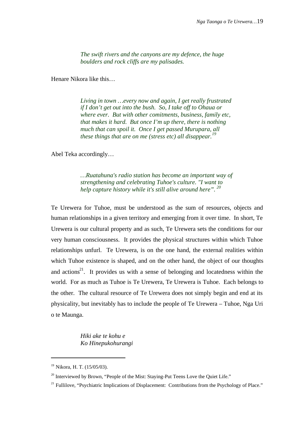*The swift rivers and the canyons are my defence, the huge boulders and rock cliffs are my palisades.*

Henare Nikora like this…

*Living in town …every now and again, I get really frustrated if I don't get out into the bush. So, I take off to Ohaua or where ever. But with other comitments, business, family etc, that makes it hard. But once I'm up there, there is nothing much that can spoil it. Once I get passed Murupara, all these things that are on me (stress etc) all disappear.<sup>19</sup>*

Abel Teka accordingly…

*…Ruatahuna's radio station has become an important way of strengthening and celebrating Tuhoe's culture. "I want to help capture history while it's still alive around here". <sup>20</sup>*

Te Urewera for Tuhoe, must be understood as the sum of resources, objects and human relationships in a given territory and emerging from it over time. In short, Te Urewera is our cultural property and as such, Te Urewera sets the conditions for our very human consciousness. It provides the physical structures within which Tuhoe relationships unfurl. Te Urewera, is on the one hand, the external realities within which Tuhoe existence is shaped, and on the other hand, the object of our thoughts and actions<sup>21</sup>. It provides us with a sense of belonging and locatedness within the world. For as much as Tuhoe is Te Urewera, Te Urewera is Tuhoe. Each belongs to the other. The cultural resource of Te Urewera does not simply begin and end at its physicality, but inevitably has to include the people of Te Urewera – Tuhoe, Nga Uri o te Maunga.

> *Hiki ake te kohu e Ko Hinepukohurangi*

<sup>19</sup> Nikora, H. T. (15/05/03).

 $20$  Interviewed by Brown, "People of the Mist: Staying-Put Teens Love the Quiet Life."

<sup>&</sup>lt;sup>21</sup> Fullilove, "Psychiatric Implications of Displacement: Contributions from the Psychology of Place."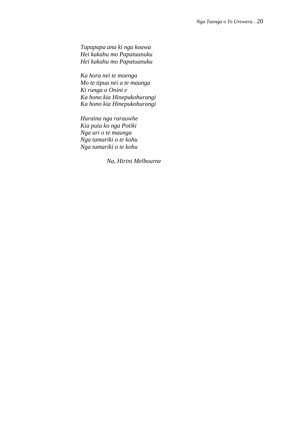*Tapapapa ana ki nga koawa Hei kakahu mo Papatuanuku Hei kakahu mo Papatuanuku*

*Ka hora nei te moenga Mo te tipua nei a te maunga Ki runga o Onini e Ka hono kia Hinepukohurangi Ka hono kia Hinepukohurangi*

*Huraina nga rarauwhe Kia puta ko nga Potiki Nga uri o te maunga Nga tamariki o te kohu Nga tamariki o te kohu*

*Na, Hirini Melbourne*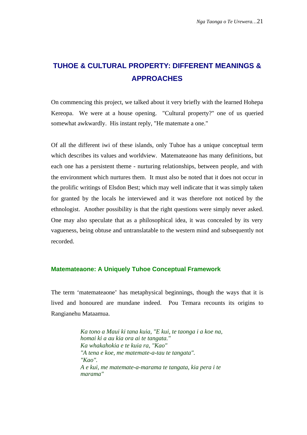# **TUHOE & CULTURAL PROPERTY: DIFFERENT MEANINGS & APPROACHES**

On commencing this project, we talked about it very briefly with the learned Hohepa Kereopa. We were at a house opening. "Cultural property?" one of us queried somewhat awkwardly. His instant reply, "He matemate a one."

Of all the different iwi of these islands, only Tuhoe has a unique conceptual term which describes its values and worldview. Matemateaone has many definitions, but each one has a persistent theme - nurturing relationships, between people, and with the environment which nurtures them. It must also be noted that it does not occur in the prolific writings of Elsdon Best; which may well indicate that it was simply taken for granted by the locals he interviewed and it was therefore not noticed by the ethnologist. Another possibility is that the right questions were simply never asked. One may also speculate that as a philosophical idea, it was concealed by its very vagueness, being obtuse and untranslatable to the western mind and subsequently not recorded.

#### **Matemateaone: A Uniquely Tuhoe Conceptual Framework**

The term 'matemateaone' has metaphysical beginnings, though the ways that it is lived and honoured are mundane indeed. Pou Temara recounts its origins to Rangianehu Mataamua.

> *Ka tono a Maui ki tana kuia, "E kui, te taonga i a koe na, homai ki a au kia ora ai te tangata." Ka whakahokia e te kuia ra, "Kao" "A tena e koe, me matemate-a-tau te tangata". "Kao". A e kui, me matemate-a-marama te tangata, kia pera i te marama"*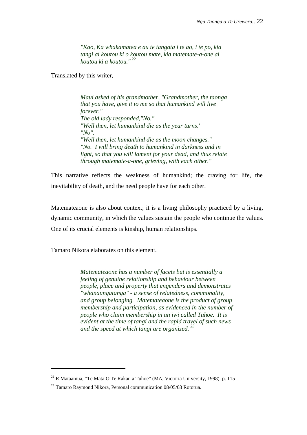*"Kao, Ka whakamatea e au te tangata i te ao, i te po, kia tangi ai koutou ki o koutou mate, kia matemate-a-one ai koutou ki a koutou." <sup>22</sup>*

Translated by this writer,

*Maui asked of his grandmother, "Grandmother, the taonga that you have, give it to me so that humankind will live forever." The old lady responded,"No." "Well then, let humankind die as the year turns.' "No". "Well then, let humankind die as the moon changes." "No. I will bring death to humankind in darkness and in light, so that you will lament for your dead, and thus relate through matemate-a-one, grieving, with each other."*

This narrative reflects the weakness of humankind; the craving for life, the inevitability of death, and the need people have for each other.

Matemateaone is also about context; it is a living philosophy practiced by a living, dynamic community, in which the values sustain the people who continue the values. One of its crucial elements is kinship, human relationships.

Tamaro Nikora elaborates on this element.

j

*Matemateaone has a number of facets but is essentially a feeling of genuine relationship and behaviour between people, place and property that engenders and demonstrates "whanaungatanga" - a sense of relatedness, commonality, and group belonging. Matemateaone is the product of group membership and participation, as evidenced in the number of people who claim membership in an iwi called Tuhoe. It is evident at the time of tangi and the rapid travel of such news and the speed at which tangi are organized. <sup>23</sup>*

 $^{22}$  R Mataamua, "Te Mata O Te Rakau a Tuhoe" (MA, Victoria University, 1998). p. 115

<sup>&</sup>lt;sup>23</sup> Tamaro Raymond Nikora, Personal communication 08/05/03 Rotorua.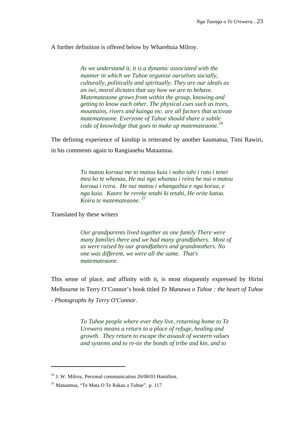#### A further definition is offered below by Wharehuia Milroy.

*As we understand it, it is a dynamic associated with the manner in which we Tuhoe organise ourselves socially, culturally, politically and spiritually. They are our ideals as an iwi, moral dictates that say how we are to behave. Matemateaone grows from within the group, knowing and getting to know each other. The physical cues such as trees, mountains, rivers and kainga etc. are all factors that activate matemateaone. Everyone of Tuhoe should share a subtle code of knowledge that goes to make up matemateaone.<sup>24</sup>*

The defining experience of kinship is reiterated by another kaumatua, Timi Rawiri, in his comments again to Rangianehu Mataamua.

> *To matou koroua me to matou kuia i noho tahi i roto i tenei mea ko te whanau, He nui nga whanau i reira he nui o matou koroua i reira. He nui matou i whangaihia e nga korua, e nga kuia. Kaore he rereke tetahi ki tetahi, He orite katoa. Koira te matemateaone. <sup>25</sup>*

Translated by these writers

*Our grandparents lived together as one family There were many families there and we had many grandfathers. Most of us were raised by our grandfathers and grandmothers. No one was different, we were all the same. That's matemateaone.*

This sense of place, and affinity with it, is most eloquently expressed by Hirini Melbourne in Terry O'Connor's book titled *Te Manawa o Tuhoe : the heart of Tuhoe - Photographs by Terry O'Connor*.

> *To Tuhoe people where ever they live, returning home to Te Urewera means a return to a place of refuge, healing and growth. They return to escape the assault of western values and systems and to re-tie the bonds of tribe and kin, and to*

<sup>&</sup>lt;sup>24</sup> J. W. Milroy, Personal communication 26/08/03 Hamilton.

<sup>25</sup> Mataamua, "Te Mata O Te Rakau a Tuhoe". p. 117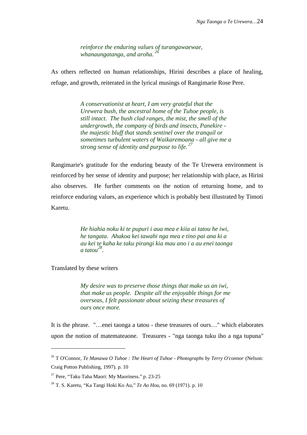*reinforce the enduring values of turangawaewae, whanaungatanga, and aroha. <sup>26</sup>*

As others reflected on human relationships, Hirini describes a place of healing, refuge, and growth, reiterated in the lyrical musings of Rangimarie Rose Pere.

> *A conservationist at heart, I am very grateful that the Urewera bush, the ancestral home of the Tuhoe people, is still intact. The bush clad ranges, the mist, the smell of the undergrowth, the company of birds and insects, Panekire the majestic bluff that stands sentinel over the tranquil or sometimes turbulent waters of Waikaremoana - all give me a strong sense of identity and purpose to life. <sup>27</sup>*

Rangimarie's gratitude for the enduring beauty of the Te Urewera environment is reinforced by her sense of identity and purpose; her relationship with place, as Hirini also observes. He further comments on the notion of returning home, and to reinforce enduring values, an experience which is probably best illustrated by Timoti Karetu.

> *He hiahia noku ki te pupuri i aua mea e kiia ai tatou he iwi, he tangata. Ahakoa kei tawahi nga mea e tino pai ana ki a au kei te kaha ke taku pirangi kia mau ano i a au enei taonga a tatou<sup>28</sup> .*

Translated by these writers

j

*My desire was to preserve those things that make us an iwi, that make us people. Despite all the enjoyable things for me overseas, I felt passionate about seizing these treasures of ours once more.*

It is the phrase. "…enei taonga a tatou - these treasures of ours…" which elaborates upon the notion of matemateaone. Treasures - "nga taonga tuku iho a nga tupuna"

<sup>26</sup> T O'Connor, *Te Manawa O Tuhoe : The Heart of Tuhoe - Photographs by Terry O'connor* (Nelson: Craig Potton Publishing, 1997). p. 10

<sup>&</sup>lt;sup>27</sup> Pere, "Taku Taha Maori: My Maoriness." p. 23-25

<sup>28</sup> T. S. Karetu, "Ka Tangi Hoki Ko Au," *Te Ao Hou*, no. 69 (1971). p. 10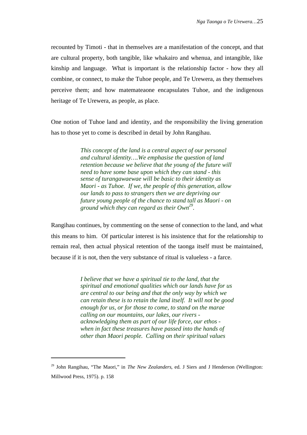recounted by Timoti - that in themselves are a manifestation of the concept, and that are cultural property, both tangible, like whakairo and whenua, and intangible, like kinship and language. What is important is the relationship factor - how they all combine, or connect, to make the Tuhoe people, and Te Urewera, as they themselves perceive them; and how matemateaone encapsulates Tuhoe, and the indigenous heritage of Te Urewera, as people, as place.

One notion of Tuhoe land and identity, and the responsibility the living generation has to those yet to come is described in detail by John Rangihau.

> *This concept of the land is a central aspect of our personal and cultural identity….We emphasise the question of land retention because we believe that the young of the future will need to have some base upon which they can stand - this sense of turangawaewae will be basic to their identity as Maori - as Tuhoe. If we, the people of this generation, allow our lands to pass to strangers then we are depriving our future young people of the chance to stand tall as Maori - on ground which they can regard as their Own<sup>29</sup> .*

Rangihau continues, by commenting on the sense of connection to the land, and what this means to him. Of particular interest is his insistence that for the relationship to remain real, then actual physical retention of the taonga itself must be maintained, because if it is not, then the very substance of ritual is valueless - a farce.

> *I believe that we have a spiritual tie to the land, that the spiritual and emotional qualities which our lands have for us are central to our being and that the only way by which we can retain these is to retain the land itself. It will not be good enough for us, or for those to come, to stand on the marae calling on our mountains, our lakes, our rivers acknowledging them as part of our life force, our ethos when in fact these treasures have passed into the hands of other than Maori people. Calling on their spiritual values*

<sup>&</sup>lt;sup>29</sup> John Rangihau, "The Maori," in *The New Zealanders*, ed. J Siers and J Henderson (Wellington: Millwood Press, 1975). p. 158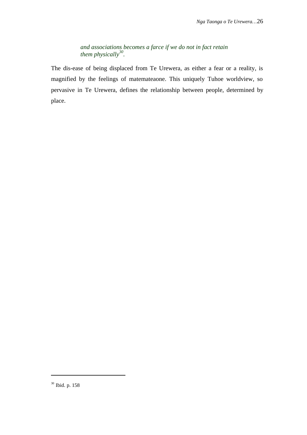*and associations becomes a farce if we do not in fact retain them physically<sup>30</sup> .*

The dis-ease of being displaced from Te Urewera, as either a fear or a reality, is magnified by the feelings of matemateaone. This uniquely Tuhoe worldview, so pervasive in Te Urewera, defines the relationship between people, determined by place.

<sup>30</sup> Ibid. p. 158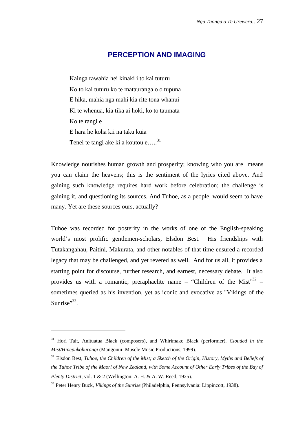## **PERCEPTION AND IMAGING**

Kainga rawahia hei kinaki i to kai tuturu Ko to kai tuturu ko te matauranga o o tupuna E hika, mahia nga mahi kia rite tona whanui Ki te whenua, kia tika ai hoki, ko to taumata Ko te rangi e E hara he koha kii na taku kuia Tenei te tangi ake ki a koutou e.....<sup>31</sup>

Knowledge nourishes human growth and prosperity; knowing who you are means you can claim the heavens; this is the sentiment of the lyrics cited above. And gaining such knowledge requires hard work before celebration; the challenge is gaining it, and questioning its sources. And Tuhoe, as a people, would seem to have many. Yet are these sources ours, actually?

Tuhoe was recorded for posterity in the works of one of the English-speaking world's most prolific gentlemen-scholars, Elsdon Best. His friendships with Tutakangahau, Paitini, Makurata, and other notables of that time ensured a recorded legacy that may be challenged, and yet revered as well. And for us all, it provides a starting point for discourse, further research, and earnest, necessary debate. It also provides us with a romantic, preraphaelite name – "Children of the Mist" $32$  – sometimes queried as his invention, yet as iconic and evocative as "Vikings of the Sunrise". $33$ .

<sup>31</sup> Hori Tait, Anituatua Black (composers), and Whirimako Black (performer), *Clouded in the Mist/Hinepukohurangi* (Mangonui: Muscle Music Productions, 1999).

<sup>&</sup>lt;sup>32</sup> Elsdon Best, *Tuhoe, the Children of the Mist; a Sketch of the Origin, History, Myths and Beliefs of the Tuhoe Tribe of the Maori of New Zealand, with Some Account of Other Early Tribes of the Bay of Plenty District*, vol. 1 & 2 (Wellington: A. H. & A. W. Reed, 1925).

<sup>33</sup> Peter Henry Buck, *Vikings of the Sunrise* (Philadelphia, Pennsylvania: Lippincott, 1938).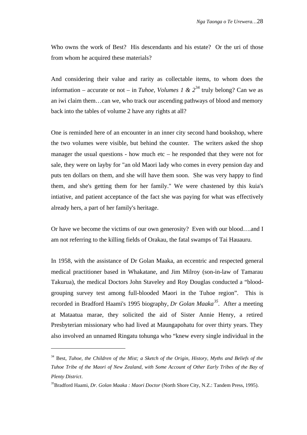Who owns the work of Best? His descendants and his estate? Or the uri of those from whom he acquired these materials?

And considering their value and rarity as collectable items, to whom does the information – accurate or not – in *Tuhoe, Volumes 1 & 2*<sup>34</sup> truly belong? Can we as an iwi claim them…can we, who track our ascending pathways of blood and memory back into the tables of volume 2 have any rights at all?

One is reminded here of an encounter in an inner city second hand bookshop, where the two volumes were visible, but behind the counter. The writers asked the shop manager the usual questions - how much etc – he responded that they were not for sale, they were on layby for "an old Maori lady who comes in every pension day and puts ten dollars on them, and she will have them soon. She was very happy to find them, and she's getting them for her family." We were chastened by this kuia's intiative, and patient acceptance of the fact she was paying for what was effectively already hers, a part of her family's heritage.

Or have we become the victims of our own generosity? Even with our blood….and I am not referring to the killing fields of Orakau, the fatal swamps of Tai Hauauru.

In 1958, with the assistance of Dr Golan Maaka, an eccentric and respected general medical practitioner based in Whakatane, and Jim Milroy (son-in-law of Tamarau Takurua), the medical Doctors John Staveley and Roy Douglas conducted a "bloodgrouping survey test among full-blooded Maori in the Tuhoe region". This is recorded in Bradford Haami's 1995 biography, *Dr Golan Maaka<sup>35</sup> .* After a meeting at Mataatua marae, they solicited the aid of Sister Annie Henry, a retired Presbyterian missionary who had lived at Maungapohatu for over thirty years. They also involved an unnamed Ringatu tohunga who "knew every single individual in the

<sup>&</sup>lt;sup>34</sup> Best, *Tuhoe, the Children of the Mist; a Sketch of the Origin, History, Myths and Beliefs of the Tuhoe Tribe of the Maori of New Zealand, with Some Account of Other Early Tribes of the Bay of Plenty District*.

<sup>35</sup>Bradford Haami, *Dr. Golan Maaka : Maori Doctor* (North Shore City, N.Z.: Tandem Press, 1995).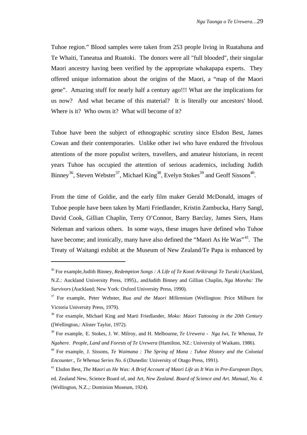Tuhoe region." Blood samples were taken from 253 people living in Ruatahuna and Te Whaiti, Taneatua and Ruatoki. The donors were all "full blooded", their singular Maori ancestry having been verified by the appropriate whakapapa experts. They offered unique information about the origins of the Maori, a "map of the Maori gene". Amazing stuff for nearly half a century ago!!! What are the implications for us now? And what became of this material? It is literally our ancestors' blood. Where is it? Who owns it? What will become of it?

Tuhoe have been the subject of ethnographic scrutiny since Elsdon Best, James Cowan and their contemporaries. Unlike other iwi who have endured the frivolous attentions of the more populist writers, travellers, and amateur historians, in recent years Tuhoe has occupied the attention of serious academics, including Judith Binney<sup>36</sup>, Steven Webster<sup>37</sup>, Michael King<sup>38</sup>, Evelyn Stokes<sup>39</sup> and Geoff Sissons<sup>40</sup>.

From the time of Goldie, and the early film maker Gerald McDonald, images of Tuhoe people have been taken by Marti Friedlander, Kristin Zambucka, Harry Sangl, David Cook, Gillian Chaplin, Terry O'Connor, Barry Barclay, James Siers, Hans Neleman and various others. In some ways, these images have defined who Tuhoe have become; and ironically, many have also defined the "Maori As He Was"<sup>41</sup>. The Treaty of Waitangi exhibit at the Museum of New Zealand/Te Papa is enhanced by

<sup>&</sup>lt;sup>36</sup> For example,Judith Binney, *Redemption Songs : A Life of Te Kooti Arikirangi Te Turuki* (Auckland, N.Z.: Auckland University Press, 1995)., andJudith Binney and Gillian Chaplin, *Nga Morehu: The Survivors* (Auckland; New York: Oxford University Press, 1990).

<sup>37</sup> For example, Peter Webster, *Rua and the Maori Millennium* (Wellington: Price Milburn for Victoria University Press, 1979).

<sup>38</sup> For example, Michael King and Marti Friedlander, *Moko: Maori Tattooing in the 20th Century* ([Wellington,: Alister Taylor, 1972).

<sup>&</sup>lt;sup>39</sup> For example, E. Stokes, J. W. Milroy, and H. Melbourne, *Te Urewera - Nga Iwi, Te Whenua, Te Ngahere. People, Land and Forests of Te Urewera* (Hamilton, NZ.: University of Waikato, 1986).

<sup>40</sup> For example, J. Sissons, *Te Waimana : The Spring of Mana : Tuhoe History and the Colonial Encounter.*, *Te Whenua Series No. 6* (Dunedin: University of Otago Press, 1991).

<sup>&</sup>lt;sup>41</sup> Elsdon Best, *The Maori as He Was: A Brief Account of Maori Life as It Was in Pre-European Days*, ed. Zealand New, Science Board of, and Art, *New Zealand. Board of Science and Art. Manual, No. 4.* (Wellington, N.Z.,: Dominion Museum, 1924).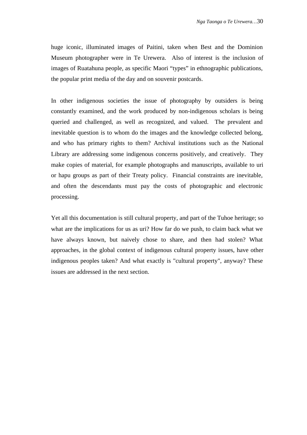huge iconic, illuminated images of Paitini, taken when Best and the Dominion Museum photographer were in Te Urewera. Also of interest is the inclusion of images of Ruatahuna people, as specific Maori "types" in ethnographic publications, the popular print media of the day and on souvenir postcards.

In other indigenous societies the issue of photography by outsiders is being constantly examined, and the work produced by non-indigenous scholars is being queried and challenged, as well as recognized, and valued. The prevalent and inevitable question is to whom do the images and the knowledge collected belong, and who has primary rights to them? Archival institutions such as the National Library are addressing some indigenous concerns positively, and creatively. They make copies of material, for example photographs and manuscripts, available to uri or hapu groups as part of their Treaty policy. Financial constraints are inevitable, and often the descendants must pay the costs of photographic and electronic processing.

Yet all this documentation is still cultural property, and part of the Tuhoe heritage; so what are the implications for us as uri? How far do we push, to claim back what we have always known, but naively chose to share, and then had stolen? What approaches, in the global context of indigenous cultural property issues, have other indigenous peoples taken? And what exactly is "cultural property", anyway? These issues are addressed in the next section.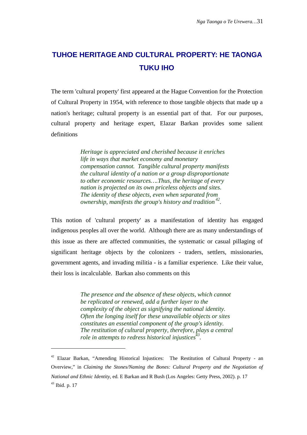# **TUHOE HERITAGE AND CULTURAL PROPERTY: HE TAONGA TUKU IHO**

The term 'cultural property' first appeared at the Hague Convention for the Protection of Cultural Property in 1954, with reference to those tangible objects that made up a nation's heritage; cultural property is an essential part of that. For our purposes, cultural property and heritage expert, Elazar Barkan provides some salient definitions

> *Heritage is appreciated and cherished because it enriches life in ways that market economy and monetary compensation cannot. Tangible cultural property manifests the cultural identity of a nation or a group disproportionate to other economic resources….Thus, the heritage of every nation is projected on its own priceless objects and sites. The identity of these objects, even when separated from ownership, manifests the group's history and tradition <sup>42</sup> .*

This notion of 'cultural property' as a manifestation of identity has engaged indigenous peoples all over the world. Although there are as many understandings of this issue as there are affected communities, the systematic or casual pillaging of significant heritage objects by the colonizers - traders, settlers, missionaries, government agents, and invading militia - is a familiar experience. Like their value, their loss is incalculable. Barkan also comments on this

> *The presence and the absence of these objects, which cannot be replicated or renewed, add a further layer to the complexity of the object as signifying the national identity. Often the longing itself for these unavailable objects or sites constitutes an essential component of the group's identity. The restitution of cultural property, therefore, plays a central role in attempts to redress historical injustices<sup>43</sup> .*

<sup>&</sup>lt;sup>42</sup> Elazar Barkan, "Amending Historical Injustices: The Restitution of Cultural Property - an Overview," in *Claiming the Stones/Naming the Bones: Cultural Property and the Negotiation of National and Ethnic Identity*, ed. E Barkan and R Bush (Los Angeles: Getty Press, 2002). p. 17 <sup>43</sup> Ibid. p. 17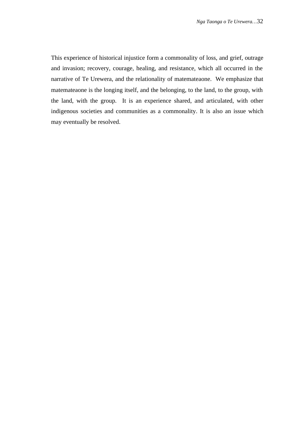This experience of historical injustice form a commonality of loss, and grief, outrage and invasion; recovery, courage, healing, and resistance, which all occurred in the narrative of Te Urewera, and the relationality of matemateaone. We emphasize that matemateaone is the longing itself, and the belonging, to the land, to the group, with the land, with the group. It is an experience shared, and articulated, with other indigenous societies and communities as a commonality. It is also an issue which may eventually be resolved.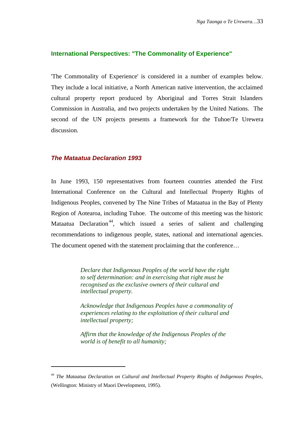#### **International Perspectives: "The Commonality of Experience"**

'The Commonality of Experience' is considered in a number of examples below. They include a local initiative, a North American native intervention, the acclaimed cultural property report produced by Aboriginal and Torres Strait Islanders Commission in Australia, and two projects undertaken by the United Nations. The second of the UN projects presents a framework for the Tuhoe/Te Urewera discussion.

#### **The Mataatua Declaration 1993**

l

In June 1993, 150 representatives from fourteen countries attended the First International Conference on the Cultural and Intellectual Property Rights of Indigenous Peoples, convened by The Nine Tribes of Mataatua in the Bay of Plenty Region of Aotearoa, including Tuhoe. The outcome of this meeting was the historic Mataatua Declaration<sup>44</sup>, which issued a series of salient and challenging recommendations to indigenous people, states, national and international agencies. The document opened with the statement proclaiming that the conference…

> *Declare that Indigenous Peoples of the world have the right to self determination: and in exercising that right must be recognised as the exclusive owners of their cultural and intellectual property.*

*Acknowledge that Indigenous Peoples have a commonality of experiences relating to the exploitation of their cultural and intellectual property;*

*Affirm that the knowledge of the Indigenous Peoples of the world is of benefit to all humanity;*

<sup>44</sup> *The Mataatua Declaration on Cultural and Intellectual Property Risghts of Indigenous Peoples*, (Wellington: Ministry of Maori Development, 1995).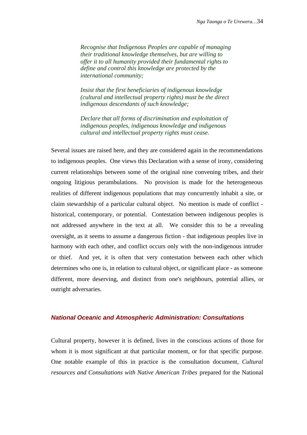*Recognise that Indigenous Peoples are capable of managing their traditional knowledge themselves, but are willing to offer it to all humanity provided their fundamental rights to define and control this knowledge are protected by the international community;*

*Insist that the first beneficiaries of indigenous knowledge (cultural and intellectual property rights) must be the direct indigenous descendants of such knowledge;*

*Declare that all forms of discrimination and exploitation of indigenous peoples, indigenous knowledge and indigenous cultural and intellectual property rights must cease.*

Several issues are raised here, and they are considered again in the recommendations to indigenous peoples. One views this Declaration with a sense of irony, considering current relationships between some of the original nine convening tribes, and their ongoing litigious perambulations. No provision is made for the heterogeneous realities of different indigenous populations that may concurrently inhabit a site, or claim stewardship of a particular cultural object. No mention is made of conflict historical, contemporary, or potential. Contestation between indigenous peoples is not addressed anywhere in the text at all. We consider this to be a revealing oversight, as it seems to assume a dangerous fiction - that indigenous peoples live in harmony with each other, and conflict occurs only with the non-indigenous intruder or thief. And yet, it is often that very contestation between each other which determines who one is, in relation to cultural object, or significant place - as someone different, more deserving, and distinct from one's neighbours, potential allies, or outright adversaries.

#### **National Oceanic and Atmospheric Administration: Consultations**

Cultural property, however it is defined, lives in the conscious actions of those for whom it is most significant at that particular moment, or for that specific purpose. One notable example of this in practice is the consultation document*, Cultural resources and Consultations with Native American Tribes* prepared for the National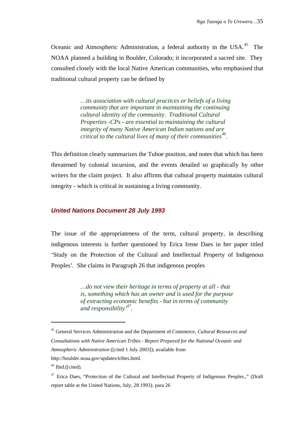Oceanic and Atmospheric Administration, a federal authority in the USA.<sup>45</sup> The NOAA planned a building in Boulder, Colorado; it incorporated a sacred site. They consulted closely with the local Native American communities, who emphasised that traditional cultural property can be defined by

> *…its association with cultural practices or beliefs of a living community that are important in maintaining the continuing cultural identity of the community. Traditional Cultural Properties -CPs - are essential to maintaining the cultural integrity of many Native American Indian nations and are critical to the cultural lives of many of their communities<sup>46</sup> .*

This definition clearly summarizes the Tuhoe position, and notes that which has been threatened by colonial incursion, and the events detailed so graphically by other writers for the claim project. It also affirms that cultural property maintains cultural integrity - which is critical in sustaining a living community.

# **United Nations Document 28 July 1993**

The issue of the appropriateness of the term, cultural property, in describing indigenous interests is further questioned by Erica Irene Daes in her paper titled 'Study on the Protection of the Cultural and Intellectual Property of Indigenous Peoples'. She claims in Paragraph 26 that indigenous peoples

> *…do not view their heritage in terms of property at all - that is, something which has an owner and is used for the purpose of extracting economic benefits - but in terms of community and responsibility'<sup>47</sup> .*

j

<sup>45</sup> General Services Administration and the Department of Commerce, *Cultural Resources and*

*Consultations with Native American Tribes - Report Prepared for the National Oceanic and Atmospheric Administration* ([cited 1 July 2003]); available from

[http://boulder.noaa.gov/updates/tribes.html.](http://boulder.noaa.gov/updates/tribes.html)

 $46$  Ibid.([cited).

<sup>&</sup>lt;sup>47</sup> Erica Daes, "Protection of the Cultural and Intellectual Property of Indigenous Peoples.," (Draft report table at the United Nations, July, 28 1993). para 26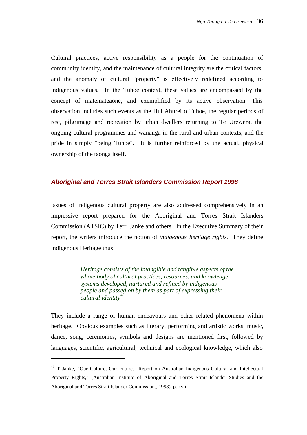Cultural practices, active responsibility as a people for the continuation of community identity, and the maintenance of cultural integrity are the critical factors, and the anomaly of cultural "property" is effectively redefined according to indigenous values. In the Tuhoe context, these values are encompassed by the concept of matemateaone, and exemplified by its active observation. This observation includes such events as the Hui Ahurei o Tuhoe, the regular periods of rest, pilgrimage and recreation by urban dwellers returning to Te Urewera, the ongoing cultural programmes and wananga in the rural and urban contexts, and the pride in simply "being Tuhoe". It is further reinforced by the actual, physical ownership of the taonga itself.

# **Aboriginal and Torres Strait Islanders Commission Report 1998**

Issues of indigenous cultural property are also addressed comprehensively in an impressive report prepared for the Aboriginal and Torres Strait Islanders Commission (ATSIC) by Terri Janke and others. In the Executive Summary of their report, the writers introduce the notion of *indigenous heritage rights.* They define indigenous Heritage thus

> *Heritage consists of the intangible and tangible aspects of the whole body of cultural practices, resources, and knowledge systems developed, nurtured and refined by indigenous people and passed on by them as part of expressing their cultural identity<sup>48</sup> .*

They include a range of human endeavours and other related phenomena within heritage. Obvious examples such as literary, performing and artistic works, music, dance, song, ceremonies, symbols and designs are mentioned first, followed by languages, scientific, agricultural, technical and ecological knowledge, which also

<sup>&</sup>lt;sup>48</sup> T Janke, "Our Culture, Our Future. Report on Australian Indigenous Cultural and Intellectual Property Rights," (Australian Institute of Aboriginal and Torres Strait Islander Studies and the Aboriginal and Torres Strait Islander Commission., 1998). p. xvii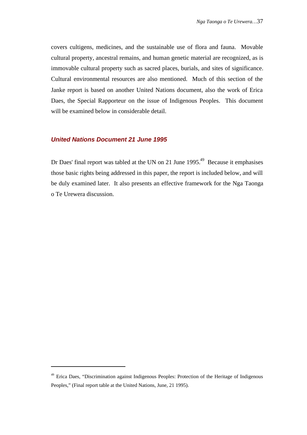covers cultigens, medicines, and the sustainable use of flora and fauna. Movable cultural property, ancestral remains, and human genetic material are recognized, as is immovable cultural property such as sacred places, burials, and sites of significance. Cultural environmental resources are also mentioned. Much of this section of the Janke report is based on another United Nations document, also the work of Erica Daes, the Special Rapporteur on the issue of Indigenous Peoples. This document will be examined below in considerable detail.

### **United Nations Document 21 June 1995**

l

Dr Daes' final report was tabled at the UN on 21 June 1995.<sup>49</sup> Because it emphasises those basic rights being addressed in this paper, the report is included below, and will be duly examined later. It also presents an effective framework for the Nga Taonga o Te Urewera discussion.

<sup>&</sup>lt;sup>49</sup> Erica Daes, "Discrimination against Indigenous Peoples: Protection of the Heritage of Indigenous Peoples," (Final report table at the United Nations, June, 21 1995).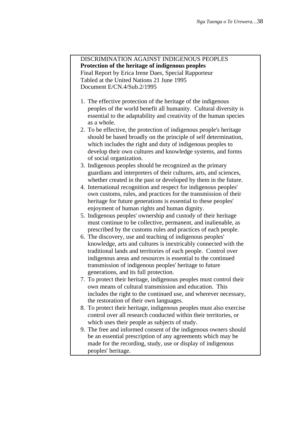## DISCRIMINATION AGAINST INDIGENOUS PEOPLES **Protection of the heritage of indigenous peoples** Final Report by Erica Irene Daes, Special Rapporteur Tabled at the United Nations 21 June 1995

Document E/CN.4/Sub.2/1995

- 1. The effective protection of the heritage of the indigenous peoples of the world benefit all humanity. Cultural diversity is essential to the adaptability and creativity of the human species as a whole.
- 2. To be effective, the protection of indigenous people's heritage should be based broadly on the principle of self determination, which includes the right and duty of indigenous peoples to develop their own cultures and knowledge systems, and forms of social organization.
- 3. Indigenous peoples should be recognized as the primary guardians and interpreters of their cultures, arts, and sciences, whether created in the past or developed by them in the future.
- 4. International recognition and respect for indigenous peoples' own customs, rules, and practices for the transmission of their heritage for future generations is essential to these peoples' enjoyment of human rights and human dignity.
- 5. Indigenous peoples' ownership and custody of their heritage must continue to be collective, permanent, and inalienable, as prescribed by the customs rules and practices of each people.
- 6. The discovery, use and teaching of indigenous peoples' knowledge, arts and cultures is inextricably connected with the traditional lands and territories of each people. Control over indigenous areas and resources is essential to the continued transmission of indigenous peoples' heritage to future generations, and its full protection.
- 7. To protect their heritage, indigenous peoples must control their own means of cultural transmission and education. This includes the right to the continued use, and wherever necessary, the restoration of their own languages.
- 8. To protect their heritage, indigenous peoples must also exercise control over all research conducted within their territories, or which uses their people as subjects of study.
- 9. The free and informed consent of the indigenous owners should be an essential prescription of any agreements which may be made for the recording, study, use or display of indigenous peoples' heritage.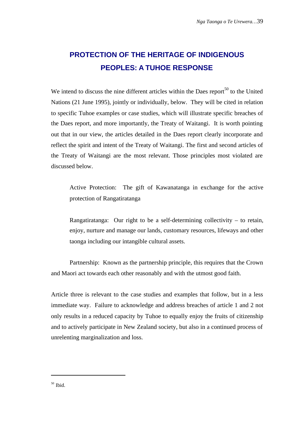# **PROTECTION OF THE HERITAGE OF INDIGENOUS PEOPLES: A TUHOE RESPONSE**

We intend to discuss the nine different articles within the Daes report $^{50}$  to the United Nations (21 June 1995), jointly or individually, below. They will be cited in relation to specific Tuhoe examples or case studies, which will illustrate specific breaches of the Daes report, and more importantly, the Treaty of Waitangi. It is worth pointing out that in our view, the articles detailed in the Daes report clearly incorporate and reflect the spirit and intent of the Treaty of Waitangi. The first and second articles of the Treaty of Waitangi are the most relevant. Those principles most violated are discussed below.

Active Protection: The gift of Kawanatanga in exchange for the active protection of Rangatiratanga

Rangatiratanga: Our right to be a self-determining collectivity – to retain, enjoy, nurture and manage our lands, customary resources, lifeways and other taonga including our intangible cultural assets.

Partnership: Known as the partnership principle, this requires that the Crown and Maori act towards each other reasonably and with the utmost good faith.

Article three is relevant to the case studies and examples that follow, but in a less immediate way. Failure to acknowledge and address breaches of article 1 and 2 not only results in a reduced capacity by Tuhoe to equally enjoy the fruits of citizenship and to actively participate in New Zealand society, but also in a continued process of unrelenting marginalization and loss.

50 Ibid.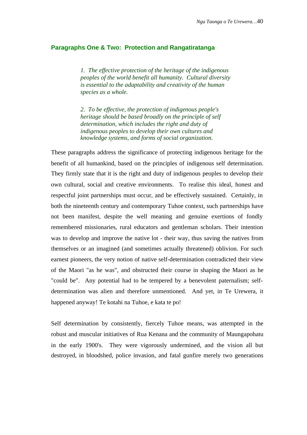#### **Paragraphs One & Two: Protection and Rangatiratanga**

*1. The effective protection of the heritage of the indigenous peoples of the world benefit all humanity. Cultural diversity is essential to the adaptability and creativity of the human species as a whole.*

*2. To be effective, the protection of indigenous people's heritage should be based broadly on the principle of self determination, which includes the right and duty of indigenous peoples to develop their own cultures and knowledge systems, and forms of social organization.*

These paragraphs address the significance of protecting indigenous heritage for the benefit of all humankind, based on the principles of indigenous self determination. They firmly state that it is the right and duty of indigenous peoples to develop their own cultural, social and creative environments. To realise this ideal, honest and respectful joint partnerships must occur, and be effectively sustained. Certainly, in both the nineteenth century and contemporary Tuhoe context, such partnerships have not been manifest, despite the well meaning and genuine exertions of fondly remembered missionaries, rural educators and gentleman scholars. Their intention was to develop and improve the native lot - their way, thus saving the natives from themselves or an imagined (and sometimes actually threatened) oblivion. For such earnest pioneers, the very notion of native self-determination contradicted their view of the Maori "as he was", and obstructed their course in shaping the Maori as he "could be". Any potential had to be tempered by a benevolent paternalism; selfdetermination was alien and therefore unmentioned. And yet, in Te Urewera, it happened anyway! Te kotahi na Tuhoe, e kata te po!

Self determination by consistently, fiercely Tuhoe means, was attempted in the robust and muscular initiatives of Rua Kenana and the community of Maungapohatu in the early 1900's. They were vigorously undermined, and the vision all but destroyed, in bloodshed, police invasion, and fatal gunfire merely two generations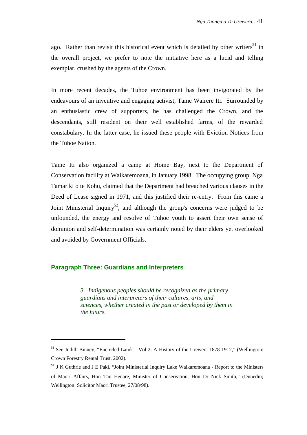ago. Rather than revisit this historical event which is detailed by other writers<sup>51</sup> in the overall project, we prefer to note the initiative here as a lucid and telling exemplar, crushed by the agents of the Crown.

In more recent decades, the Tuhoe environment has been invigorated by the endeavours of an inventive and engaging activist, Tame Wairere Iti. Surrounded by an enthusiastic crew of supporters, he has challenged the Crown, and the descendants, still resident on their well established farms, of the rewarded constabulary. In the latter case, he issued these people with Eviction Notices from the Tuhoe Nation.

Tame Iti also organized a camp at Home Bay, next to the Department of Conservation facility at Waikaremoana, in January 1998. The occupying group, Nga Tamariki o te Kohu, claimed that the Department had breached various clauses in the Deed of Lease signed in 1971, and this justified their re-entry. From this came a Joint Ministerial Inquiry<sup>52</sup>, and although the group's concerns were judged to be unfounded, the energy and resolve of Tuhoe youth to assert their own sense of dominion and self-determination was certainly noted by their elders yet overlooked and avoided by Government Officials.

#### **Paragraph Three: Guardians and Interpreters**

l

*3. Indigenous peoples should be recognized as the primary guardians and interpreters of their cultures, arts, and sciences, whether created in the past or developed by them in the future.*

<sup>&</sup>lt;sup>51</sup> See Judith Binney, "Encircled Lands - Vol 2: A History of the Urewera 1878-1912," (Wellington: Crown Forestry Rental Trust, 2002).

<sup>&</sup>lt;sup>52</sup> J K Guthrie and J E Paki, "Joint Ministerial Inquiry Lake Waikaremoana - Report to the Ministers of Maori Affairs, Hon Tau Henare, Minister of Conservation, Hon Dr Nick Smith," (Dunedin; Wellington: Solicitor Maori Trustee, 27/08/98).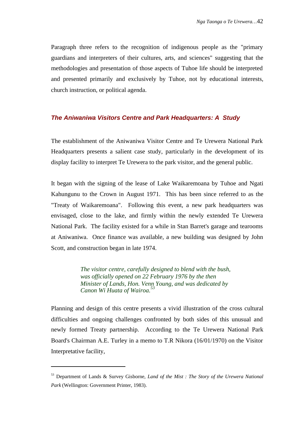Paragraph three refers to the recognition of indigenous people as the "primary guardians and interpreters of their cultures, arts, and sciences" suggesting that the methodologies and presentation of those aspects of Tuhoe life should be interpreted and presented primarily and exclusively by Tuhoe, not by educational interests, church instruction, or political agenda.

# **The Aniwaniwa Visitors Centre and Park Headquarters: A Study**

The establishment of the Aniwaniwa Visitor Centre and Te Urewera National Park Headquarters presents a salient case study, particularly in the development of its display facility to interpret Te Urewera to the park visitor, and the general public.

It began with the signing of the lease of Lake Waikaremoana by Tuhoe and Ngati Kahungunu to the Crown in August 1971. This has been since referred to as the "Treaty of Waikaremoana". Following this event, a new park headquarters was envisaged, close to the lake, and firmly within the newly extended Te Urewera National Park. The facility existed for a while in Stan Barret's garage and tearooms at Aniwaniwa. Once finance was available, a new building was designed by John Scott, and construction began in late 1974.

> *The visitor centre, carefully designed to blend with the bush, was officially opened on 22 February 1976 by the then Minister of Lands, Hon. Venn Young, and was dedicated by Canon Wi Huata of Wairoa.<sup>53</sup>*

Planning and design of this centre presents a vivid illustration of the cross cultural difficulties and ongoing challenges confronted by both sides of this unusual and newly formed Treaty partnership. According to the Te Urewera National Park Board's Chairman A.E. Turley in a memo to T.R Nikora (16/01/1970) on the Visitor Interpretative facility,

<sup>53</sup> Department of Lands & Survey Gisborne, *Land of the Mist : The Story of the Urewera National Park* (Wellington: Government Printer, 1983).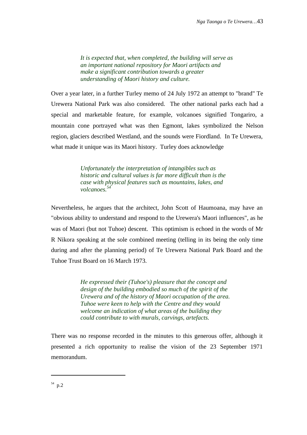*It is expected that, when completed, the building will serve as an important national repository for Maori artifacts and make a significant contribution towards a greater understanding of Maori history and culture.*

Over a year later, in a further Turley memo of 24 July 1972 an attempt to "brand" Te Urewera National Park was also considered. The other national parks each had a special and marketable feature, for example, volcanoes signified Tongariro, a mountain cone portrayed what was then Egmont, lakes symbolized the Nelson region, glaciers described Westland, and the sounds were Fiordland. In Te Urewera, what made it unique was its Maori history. Turley does acknowledge

> *Unfortunately the interpretation of intangibles such as historic and cultural values is far more difficult than is the case with physical features such as mountains, lakes, and volcanoes.<sup>54</sup>*

Nevertheless, he argues that the architect, John Scott of Haumoana, may have an "obvious ability to understand and respond to the Urewera's Maori influences", as he was of Maori (but not Tuhoe) descent. This optimism is echoed in the words of Mr R Nikora speaking at the sole combined meeting (telling in its being the only time during and after the planning period) of Te Urewera National Park Board and the Tuhoe Trust Board on 16 March 1973.

> *He expressed their (Tuhoe's) pleasure that the concept and design of the building embodied so much of the spirit of the Urewera and of the history of Maori occupation of the area. Tuhoe were keen to help with the Centre and they would welcome an indication of what areas of the building they could contribute to with murals, carvings, artefacts.*

There was no response recorded in the minutes to this generous offer, although it presented a rich opportunity to realise the vision of the 23 September 1971 memorandum.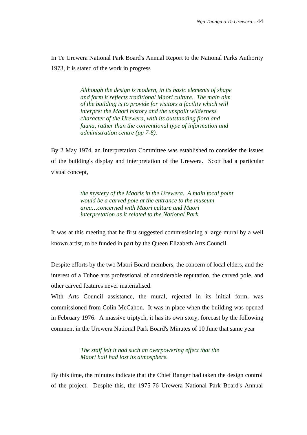In Te Urewera National Park Board's Annual Report to the National Parks Authority 1973, it is stated of the work in progress

> *Although the design is modern, in its basic elements of shape and form it reflects traditional Maori culture. The main aim of the building is to provide for visitors a facility which will interpret the Maori history and the unspoilt wilderness character of the Urewera, with its outstanding flora and fauna, rather than the conventional type of information and administration centre (pp 7-8).*

By 2 May 1974, an Interpretation Committee was established to consider the issues of the building's display and interpretation of the Urewera. Scott had a particular visual concept,

> *the mystery of the Maoris in the Urewera. A main focal point would be a carved pole at the entrance to the museum area…concerned with Maori culture and Maori interpretation as it related to the National Park.*

It was at this meeting that he first suggested commissioning a large mural by a well known artist, to be funded in part by the Queen Elizabeth Arts Council.

Despite efforts by the two Maori Board members, the concern of local elders, and the interest of a Tuhoe arts professional of considerable reputation, the carved pole, and other carved features never materialised.

With Arts Council assistance, the mural, rejected in its initial form, was commissioned from Colin McCahon. It was in place when the building was opened in February 1976. A massive triptych, it has its own story, forecast by the following comment in the Urewera National Park Board's Minutes of 10 June that same year

> *The staff felt it had such an overpowering effect that the Maori hall had lost its atmosphere.*

By this time, the minutes indicate that the Chief Ranger had taken the design control of the project. Despite this, the 1975-76 Urewera National Park Board's Annual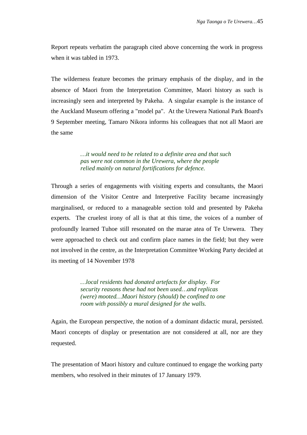Report repeats verbatim the paragraph cited above concerning the work in progress when it was tabled in 1973.

The wilderness feature becomes the primary emphasis of the display, and in the absence of Maori from the Interpretation Committee, Maori history as such is increasingly seen and interpreted by Pakeha. A singular example is the instance of the Auckland Museum offering a "model pa". At the Urewera National Park Board's 9 September meeting, Tamaro Nikora informs his colleagues that not all Maori are the same

> *…it would need to be related to a definite area and that such pas were not common in the Urewera, where the people relied mainly on natural fortifications for defence.*

Through a series of engagements with visiting experts and consultants, the Maori dimension of the Visitor Centre and Interpretive Facility became increasingly marginalised, or reduced to a manageable section told and presented by Pakeha experts. The cruelest irony of all is that at this time, the voices of a number of profoundly learned Tuhoe still resonated on the marae atea of Te Urewera. They were approached to check out and confirm place names in the field; but they were not involved in the centre, as the Interpretation Committee Working Party decided at its meeting of 14 November 1978

> *…local residents had donated artefacts for display. For security reasons these had not been used…and replicas (were) mooted…Maori history (should) be confined to one room with possibly a mural designed for the walls.*

Again, the European perspective, the notion of a dominant didactic mural, persisted. Maori concepts of display or presentation are not considered at all, nor are they requested.

The presentation of Maori history and culture continued to engage the working party members, who resolved in their minutes of 17 January 1979.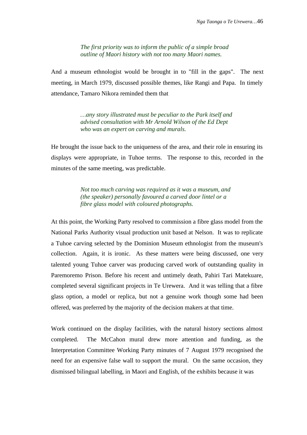*The first priority was to inform the public of a simple broad outline of Maori history with not too many Maori names.*

And a museum ethnologist would be brought in to "fill in the gaps". The next meeting, in March 1979, discussed possible themes, like Rangi and Papa. In timely attendance, Tamaro Nikora reminded them that

> *…any story illustrated must be peculiar to the Park itself and advised consultation with Mr Arnold Wilson of the Ed Dept who was an expert on carving and murals.*

He brought the issue back to the uniqueness of the area, and their role in ensuring its displays were appropriate, in Tuhoe terms. The response to this, recorded in the minutes of the same meeting, was predictable.

> *Not too much carving was required as it was a museum, and (the speaker) personally favoured a carved door lintel or a fibre glass model with coloured photographs.*

At this point, the Working Party resolved to commission a fibre glass model from the National Parks Authority visual production unit based at Nelson. It was to replicate a Tuhoe carving selected by the Dominion Museum ethnologist from the museum's collection. Again, it is ironic. As these matters were being discussed, one very talented young Tuhoe carver was producing carved work of outstanding quality in Paremoremo Prison. Before his recent and untimely death, Pahiri Tari Matekuare, completed several significant projects in Te Urewera. And it was telling that a fibre glass option, a model or replica, but not a genuine work though some had been offered, was preferred by the majority of the decision makers at that time.

Work continued on the display facilities, with the natural history sections almost completed. The McCahon mural drew more attention and funding, as the Interpretation Committee Working Party minutes of 7 August 1979 recognised the need for an expensive false wall to support the mural. On the same occasion, they dismissed bilingual labelling, in Maori and English, of the exhibits because it was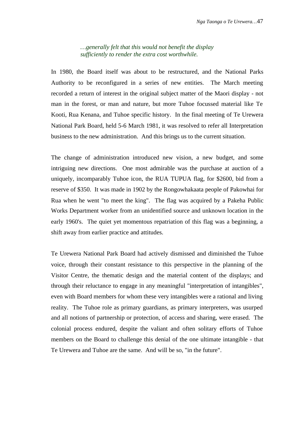*…generally felt that this would not benefit the display sufficiently to render the extra cost worthwhile.*

In 1980, the Board itself was about to be restructured, and the National Parks Authority to be reconfigured in a series of new entities. The March meeting recorded a return of interest in the original subject matter of the Maori display - not man in the forest, or man and nature, but more Tuhoe focussed material like Te Kooti, Rua Kenana, and Tuhoe specific history. In the final meeting of Te Urewera National Park Board, held 5-6 March 1981, it was resolved to refer all Interpretation business to the new administration. And this brings us to the current situation.

The change of administration introduced new vision, a new budget, and some intriguing new directions. One most admirable was the purchase at auction of a uniquely, incomparably Tuhoe icon, the RUA TUPUA flag, for \$2600, bid from a reserve of \$350. It was made in 1902 by the Rongowhakaata people of Pakowhai for Rua when he went "to meet the king". The flag was acquired by a Pakeha Public Works Department worker from an unidentified source and unknown location in the early 1960's. The quiet yet momentous repatriation of this flag was a beginning, a shift away from earlier practice and attitudes.

Te Urewera National Park Board had actively dismissed and diminished the Tuhoe voice, through their constant resistance to this perspective in the planning of the Visitor Centre, the thematic design and the material content of the displays; and through their reluctance to engage in any meaningful "interpretation of intangibles", even with Board members for whom these very intangibles were a rational and living reality. The Tuhoe role as primary guardians, as primary interpreters, was usurped and all notions of partnership or protection, of access and sharing, were erased. The colonial process endured, despite the valiant and often solitary efforts of Tuhoe members on the Board to challenge this denial of the one ultimate intangible - that Te Urewera and Tuhoe are the same. And will be so, "in the future".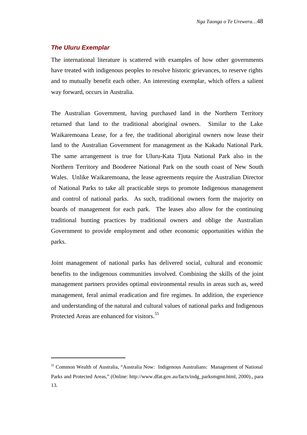# **The Uluru Exemplar**

j

The international literature is scattered with examples of how other governments have treated with indigenous peoples to resolve historic grievances, to reserve rights and to mutually benefit each other. An interesting exemplar, which offers a salient way forward, occurs in Australia.

The Australian Government, having purchased land in the Northern Territory returned that land to the traditional aboriginal owners. Similar to the Lake Waikaremoana Lease, for a fee, the traditional aboriginal owners now lease their land to the Australian Government for management as the Kakadu National Park. The same arrangement is true for Uluru-Kata Tjuta National Park also in the Northern Territory and Booderee National Park on the south coast of New South Wales. Unlike Waikaremoana, the lease agreements require the Australian Director of National Parks to take all practicable steps to promote Indigenous management and control of national parks. As such, traditional owners form the majority on boards of management for each park. The leases also allow for the continuing traditional hunting practices by traditional owners and oblige the Australian Government to provide employment and other economic opportunities within the parks.

Joint management of national parks has delivered social, cultural and economic benefits to the indigenous communities involved. Combining the skills of the joint management partners provides optimal environmental results in areas such as, weed management, feral animal eradication and fire regimes. In addition, the experience and understanding of the natural and cultural values of national parks and Indigenous Protected Areas are enhanced for visitors.<sup>55</sup>

<sup>&</sup>lt;sup>55</sup> Common Wealth of Australia, "Australia Now: Indigenous Australians: Management of National Parks and Protected Areas," (Online: [http://www.dfat.gov.au/facts/indg\\_parksmgmt.html,](http://www.dfat.gov.au/facts/indg_parksmgmt.html) 2000)., para 13.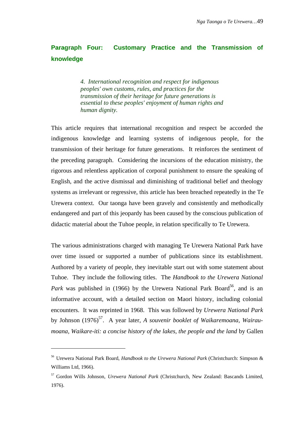# **Paragraph Four: Customary Practice and the Transmission of knowledge**

*4. International recognition and respect for indigenous peoples' own customs, rules, and practices for the transmission of their heritage for future generations is essential to these peoples' enjoyment of human rights and human dignity.*

This article requires that international recognition and respect be accorded the indigenous knowledge and learning systems of indigenous people, for the transmission of their heritage for future generations. It reinforces the sentiment of the preceding paragraph. Considering the incursions of the education ministry, the rigorous and relentless application of corporal punishment to ensure the speaking of English, and the active dismissal and diminishing of traditional belief and theology systems as irrelevant or regressive, this article has been breached repeatedly in the Te Urewera context. Our taonga have been gravely and consistently and methodically endangered and part of this jeopardy has been caused by the conscious publication of didactic material about the Tuhoe people, in relation specifically to Te Urewera.

The various administrations charged with managing Te Urewera National Park have over time issued or supported a number of publications since its establishment. Authored by a variety of people, they inevitable start out with some statement about Tuhoe. They include the following titles. The *Handbook to the Urewera National* Park was published in (1966) by the Urewera National Park Board<sup>56</sup>, and is an informative account, with a detailed section on Maori history, including colonial encounters. It was reprinted in 1968. This was followed by *Urewera National Park* by Johnson (1976)<sup>57</sup>. A year later, *A souvenir booklet of Waikaremoana, Wairaumoana, Waikare-iti: a concise history of the lakes, the people and the land* by Gallen

j

<sup>56</sup> Urewera National Park Board, *Handbook to the Urewera National Park* (Christchurch: Simpson & Williams Ltd, 1966).

<sup>57</sup> Gordon Wills Johnson, *Urewera National Park* (Christchurch, New Zealand: Bascands Limited, 1976).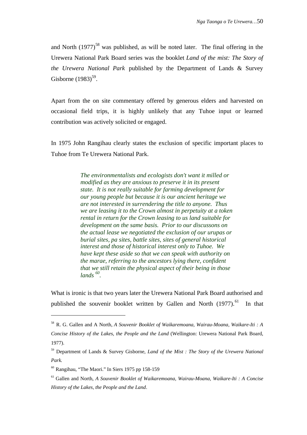and North  $(1977)^{58}$  was published, as will be noted later. The final offering in the Urewera National Park Board series was the booklet *Land of the mist: The Story of the Urewera National Park* published by the Department of Lands & Survey Gisborne  $(1983)$ <sup>59</sup>.

Apart from the on site commentary offered by generous elders and harvested on occasional field trips, it is highly unlikely that any Tuhoe input or learned contribution was actively solicited or engaged.

In 1975 John Rangihau clearly states the exclusion of specific important places to Tuhoe from Te Urewera National Park.

> *The environmentalists and ecologists don't want it milled or modified as they are anxious to preserve it in its present state. It is not really suitable for farming development for our young people but because it is our ancient heritage we are not interested in surrendering the title to anyone. Thus we are leasing it to the Crown almost in perpetuity at a token rental in return for the Crown leasing to us land suitable for development on the same basis. Prior to our discussons on the actual lease we negotiated the exclusion of our urupas or burial sites, pa sites, battle sites, sites of general historical interest and those of historical interest only to Tuhoe. We have kept these aside so that we can speak with authority on the marae, referring to the ancestors lying there, confident that we still retain the physical aspect of their being in those lands <sup>60</sup> .*

What is ironic is that two years later the Urewera National Park Board authorised and published the souvenir booklet written by Gallen and North (1977).<sup>61</sup> In that

<sup>58</sup> R. G. Gallen and A North, *A Souvenir Booklet of Waikaremoana, Wairau-Moana, Waikare-Iti : A Concise History of the Lakes, the People and the Land* (Wellington: Urewera National Park Board, 1977).

<sup>59</sup> Department of Lands & Survey Gisborne, *Land of the Mist : The Story of the Urewera National Park*.

 $60$  Rangihau, "The Maori." In Siers 1975 pp 158-159

<sup>61</sup> Gallen and North, *A Souvenir Booklet of Waikaremoana, Wairau-Moana, Waikare-Iti : A Concise History of the Lakes, the People and the Land*.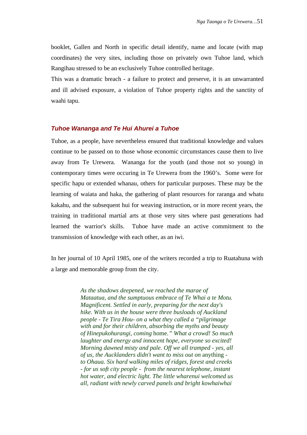booklet, Gallen and North in specific detail identify, name and locate (with map coordinates) the very sites, including those on privately own Tuhoe land, which Rangihau stressed to be an exclusively Tuhoe controlled heritage.

This was a dramatic breach - a failure to protect and preserve, it is an unwarranted and ill advised exposure, a violation of Tuhoe property rights and the sanctity of waahi tapu.

# **Tuhoe Wananga and Te Hui Ahurei a Tuhoe**

Tuhoe, as a people, have nevertheless ensured that traditional knowledge and values continue to be passed on to those whose economic circumstances cause them to live away from Te Urewera. Wananga for the youth (and those not so young) in contemporary times were occuring in Te Urewera from the 1960's. Some were for specific hapu or extended whanau, others for particular purposes. These may be the learning of waiata and haka, the gathering of plant resources for raranga and whatu kakahu, and the subsequent hui for weaving instruction, or in more recent years, the training in traditional martial arts at those very sites where past generations had learned the warrior's skills. Tuhoe have made an active commitment to the transmission of knowledge with each other, as an iwi.

In her journal of 10 April 1985, one of the writers recorded a trip to Ruatahuna with a large and memorable group from the city.

> *As the shadows deepened, we reached the marae of Mataatua, and the sumptuous embrace of Te Whai a te Motu. Magnificent. Settled in early, preparing for the next day's hike. With us in the house were three busloads of Auckland people - Te Tira Hou- on a what they called a "pilgrimage with and for their children, absorbing the myths and beauty of Hinepukohurangi, coming* home*." What a crowd! So much laughter and energy and innocent hope, everyone so excited! Morning dawned misty and pale. Off we all tramped - yes, all of us, the Aucklanders didn't want to miss out on* anything *to Ohaua. Six hard walking miles of ridges, forest and creeks - for us soft city people - from the nearest telephone, instant hot water, and electric light. The little wharenui welcomed us all, radiant with newly carved panels and bright kowhaiwhai*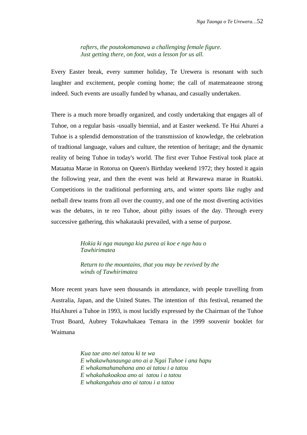*rafters, the poutokomanawa a challenging female figure. Just getting there, on foot, was a lesson for us all.*

Every Easter break, every summer holiday, Te Urewera is resonant with such laughter and excitement, people coming home; the call of matemateaone strong indeed. Such events are usually funded by whanau, and casually undertaken.

There is a much more broadly organized, and costly undertaking that engages all of Tuhoe, on a regular basis -usually biennial, and at Easter weekend. Te Hui Ahurei a Tuhoe is a splendid demonstration of the transmission of knowledge, the celebration of tradtional language, values and culture, the retention of heritage; and the dynamic reality of being Tuhoe in today's world. The first ever Tuhoe Festival took place at Mataatua Marae in Rotorua on Queen's Birthday weekend 1972; they hosted it again the following year, and then the event was held at Rewarewa marae in Ruatoki. Competitions in the traditional performing arts, and winter sports like rugby and netball drew teams from all over the country, and one of the most diverting activities was the debates, in te reo Tuhoe, about pithy issues of the day. Through every successive gathering, this whakatauki prevailed, with a sense of purpose.

# *Hokia ki nga maunga kia purea ai koe e nga hau o Tawhirimatea*

*Return to the mountains, that you may be revived by the winds of Tawhirimatea*

More recent years have seen thousands in attendance, with people travelling from Australia, Japan, and the United States. The intention of this festival, renamed the HuiAhurei a Tuhoe in 1993, is most lucidly expressed by the Chairman of the Tuhoe Trust Board, Aubrey Tokawhakaea Temara in the 1999 souvenir booklet for Waimana

> *Kua tae ano nei tatou ki te wa E whakawhanaunga ano ai a Ngai Tuhoe i ana hapu E whakamahanahana ano ai tatou i a tatou E whakahakoakoa ano ai tatou i a tatou E whakangahau ano ai tatou i a tatou*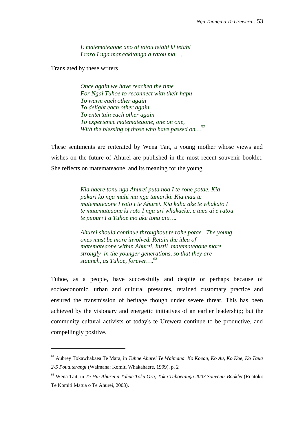*E matemateaone ano ai tatou tetahi ki tetahi I raro I nga manaakitanga a ratou ma….*

Translated by these writers

j

*Once again we have reached the time For Ngai Tuhoe to reconnect with their hapu To warm each other again To delight each other again To entertain each other again To experience matemateaone, one on one, With the blessing of those who have passed on…<sup>62</sup>*

These sentiments are reiterated by Wena Tait, a young mother whose views and wishes on the future of Ahurei are published in the most recent souvenir booklet. She reflects on matemateaone, and its meaning for the young.

> *Kia haere tonu nga Ahurei puta noa I te rohe potae. Kia pakari ko nga mahi ma nga tamariki. Kia mau te matemateaone I roto I te Ahurei. Kia kaha ake te whakato I te matemateaone ki roto I nga uri whakaeke, e taea ai e ratou te pupuri I a Tuhoe mo ake tonu atu….*

> *Ahurei should continue throughout te rohe potae. The young ones must be more involved. Retain the idea of matemateaone within Ahurei. Instil matemateaone more strongly in the younger generations, so that they are staunch, as Tuhoe, forever….<sup>63</sup>*

Tuhoe, as a people, have successfully and despite or perhaps because of socioeconomic, urban and cultural pressures, retained customary practice and ensured the transmission of heritage though under severe threat. This has been achieved by the visionary and energetic initiatives of an earlier leadership; but the community cultural activists of today's te Urewera continue to be productive, and compellingly positive.

<sup>62</sup> Aubrey Tokawhakaea Te Mara, in *Tuhoe Ahurei Te Waimana Ko Koeau, Ko Au, Ko Koe, Ko Taua 2-5 Poututerangi* (Waimana: Komiti Whakahaere, 1999). p. 2

<sup>63</sup> Wena Tait, in *Te Hui Ahurei a Tohue Toku Ora, Toku Tuhoetanga 2003 Souvenir Booklet* (Ruatoki: Te Komiti Matua o Te Ahurei, 2003).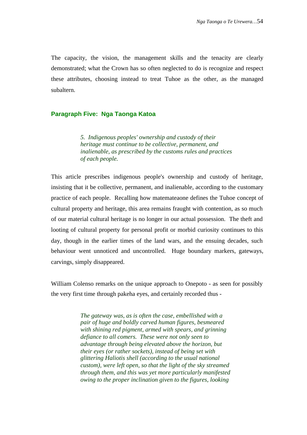The capacity, the vision, the management skills and the tenacity are clearly demonstrated; what the Crown has so often neglected to do is recognize and respect these attributes, choosing instead to treat Tuhoe as the other, as the managed subaltern.

#### **Paragraph Five: Nga Taonga Katoa**

*5. Indigenous peoples' ownership and custody of their heritage must continue to be collective, permanent, and inalienable, as prescribed by the customs rules and practices of each people.*

This article prescribes indigenous people's ownership and custody of heritage, insisting that it be collective, permanent, and inalienable, according to the customary practice of each people. Recalling how matemateaone defines the Tuhoe concept of cultural property and heritage, this area remains fraught with contention, as so much of our material cultural heritage is no longer in our actual possession. The theft and looting of cultural property for personal profit or morbid curiosity continues to this day, though in the earlier times of the land wars, and the ensuing decades, such behaviour went unnoticed and uncontrolled. Huge boundary markers, gateways, carvings, simply disappeared.

William Colenso remarks on the unique approach to Onepoto - as seen for possibly the very first time through pakeha eyes, and certainly recorded thus -

> *The gateway was, as is often the case, embellished with a pair of huge and boldly carved human figures, besmeared with shining red pigment, armed with spears, and grinning defiance to all comers. These were not only seen to advantage through being elevated above the horizon, but their eyes (or rather sockets), instead of being set with glittering Haliotis shell (according to the usual national custom), were left open, so that the light of the sky streamed through them, and this was yet more particularly manifested owing to the proper inclination given to the figures, looking*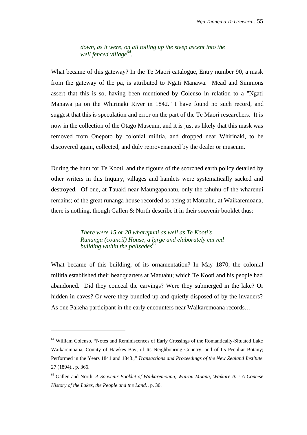*down, as it were, on all toiling up the steep ascent into the well fenced village<sup>64</sup> .*

What became of this gateway? In the Te Maori catalogue, Entry number 90, a mask from the gateway of the pa, is attributed to Ngati Manawa. Mead and Simmons assert that this is so, having been mentioned by Colenso in relation to a "Ngati Manawa pa on the Whirinaki River in 1842." I have found no such record, and suggest that this is speculation and error on the part of the Te Maori researchers. It is now in the collection of the Otago Museum, and it is just as likely that this mask was removed from Onepoto by colonial militia, and dropped near Whirinaki, to be discovered again, collected, and duly reprovenanced by the dealer or museum.

During the hunt for Te Kooti, and the rigours of the scorched earth policy detailed by other writers in this Inquiry, villages and hamlets were systematically sacked and destroyed. Of one, at Tauaki near Maungapohatu, only the tahuhu of the wharenui remains; of the great runanga house recorded as being at Matuahu, at Waikaremoana, there is nothing, though Gallen & North describe it in their souvenir booklet thus:

> *There were 15 or 20 wharepuni as well as Te Kooti's Runanga (council) House, a large and elaborately carved building within the palisades<sup>65</sup> .*

What became of this building, of its ornamentation? In May 1870, the colonial militia established their headquarters at Matuahu; which Te Kooti and his people had abandoned. Did they conceal the carvings? Were they submerged in the lake? Or hidden in caves? Or were they bundled up and quietly disposed of by the invaders? As one Pakeha participant in the early encounters near Waikaremoana records…

<sup>&</sup>lt;sup>64</sup> William Colenso, "Notes and Reminiscences of Early Crossings of the Romantically-Situated Lake Waikaremoana, County of Hawkes Bay, of Its Neighbouring Country, and of Its Peculiar Botany; Performed in the Years 1841 and 1843.," *Transactions and Proceedings of the New Zealand Institute* 27 (1894)., p. 366.

<sup>65</sup> Gallen and North, *A Souvenir Booklet of Waikaremoana, Wairau-Moana, Waikare-Iti : A Concise History of the Lakes, the People and the Land*., p. 30.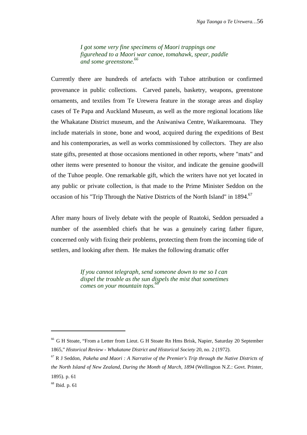*I got some very fine specimens of Maori trappings one figurehead to a Maori war canoe, tomahawk, spear, paddle and some greenstone.<sup>66</sup>*

Currently there are hundreds of artefacts with Tuhoe attribution or confirmed provenance in public collections. Carved panels, basketry, weapons, greenstone ornaments, and textiles from Te Urewera feature in the storage areas and display cases of Te Papa and Auckland Museum, as well as the more regional locations like the Whakatane District museum, and the Aniwaniwa Centre, Waikaremoana. They include materials in stone, bone and wood, acquired during the expeditions of Best and his contemporaries, as well as works commissioned by collectors. They are also state gifts, presented at those occasions mentioned in other reports, where "mats" and other items were presented to honour the visitor, and indicate the genuine goodwill of the Tuhoe people. One remarkable gift, which the writers have not yet located in any public or private collection, is that made to the Prime Minister Seddon on the occasion of his "Trip Through the Native Districts of the North Island" in 1894.<sup>67</sup>

After many hours of lively debate with the people of Ruatoki, Seddon persuaded a number of the assembled chiefs that he was a genuinely caring father figure, concerned only with fixing their problems, protecting them from the incoming tide of settlers, and looking after them. He makes the following dramatic offer

> *If you cannot telegraph, send someone down to me so I can dispel the trouble as the sun dispels the mist that sometimes comes on your mountain tops.*<sup>6</sup>

<sup>66</sup> G H Stoate, "From a Letter from Lieut. G H Stoate Rn Hms Brisk, Napier, Saturday 20 September 1865," *Historical Review - Whakatane District and Historical Society* 20, no. 2 (1972).

<sup>67</sup> R J Seddon, *Pakeha and Maori : A Narrative of the Premier's Trip through the Native Districts of the North Island of New Zealand, During the Month of March, 1894* (Wellington N.Z.: Govt. Printer, 1895). p. 61

<sup>68</sup> Ibid. p. 61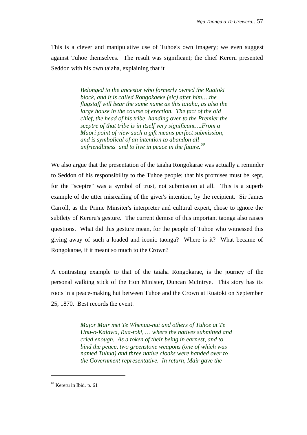This is a clever and manipulative use of Tuhoe's own imagery; we even suggest against Tuhoe themselves. The result was significant; the chief Kereru presented Seddon with his own taiaha, explaining that it

> *Belonged to the ancestor who formerly owned the Ruatoki block, and it is called Rongokaeke (sic) after him….the flagstaff will bear the same name as this taiaha, as also the large house in the course of erection. The fact of the old chief, the head of his tribe, handing over to the Premier the sceptre of that tribe is in itself very significant….From a Maori point of view such a gift means perfect submission, and is symbolical of an intention to abandon all unfriendliness and to live in peace in the future.<sup>69</sup>*

We also argue that the presentation of the taiaha Rongokarae was actually a reminder to Seddon of his responsibility to the Tuhoe people; that his promises must be kept, for the "sceptre" was a symbol of trust, not submission at all. This is a superb example of the utter misreading of the giver's intention, by the recipient. Sir James Carroll, as the Prime Minsiter's interpreter and cultural expert, chose to ignore the subtlety of Kereru's gesture. The current demise of this important taonga also raises questions. What did this gesture mean, for the people of Tuhoe who witnessed this giving away of such a loaded and iconic taonga? Where is it? What became of Rongokarae, if it meant so much to the Crown?

A contrasting example to that of the taiaha Rongokarae, is the journey of the personal walking stick of the Hon Minister, Duncan McIntrye. This story has its roots in a peace-making hui between Tuhoe and the Crown at Ruatoki on September 25, 1870. Best records the event.

> *Major Mair met Te Whenua-nui and others of Tuhoe at Te Unu-o-Kaiawa, Rua-toki, … where the natives submitted and cried enough. As a token of their being in earnest, and to bind the peace, two greenstone weapons (one of which was named Tuhua) and three native cloaks were handed over to the Government representative. In return, Mair gave the*

<sup>69</sup> Kereru in Ibid. p. 61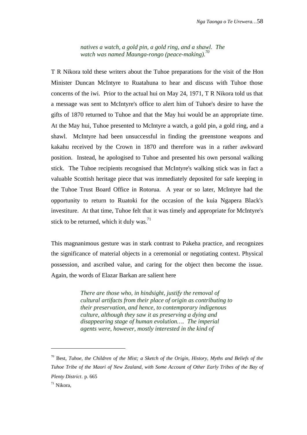*natives a watch, a gold pin, a gold ring, and a shawl. The watch was named Maunga-rongo (peace-making).<sup>70</sup>*

T R Nikora told these writers about the Tuhoe preparations for the visit of the Hon Minister Duncan McIntyre to Ruatahuna to hear and discuss with Tuhoe those concerns of the iwi. Prior to the actual hui on May 24, 1971, T R Nikora told us that a message was sent to McIntyre's office to alert him of Tuhoe's desire to have the gifts of 1870 returned to Tuhoe and that the May hui would be an appropriate time. At the May hui, Tuhoe presented to McIntyre a watch, a gold pin, a gold ring, and a shawl. McIntyre had been unsuccessful in finding the greenstone weapons and kakahu received by the Crown in 1870 and therefore was in a rather awkward position. Instead, he apologised to Tuhoe and presented his own personal walking stick. The Tuhoe recipients recognised that McIntyre's walking stick was in fact a valuable Scottish heritage piece that was immediately deposited for safe keeping in the Tuhoe Trust Board Office in Rotorua. A year or so later, McIntyre had the opportunity to return to Ruatoki for the occasion of the kuia Ngapera Black's investiture. At that time, Tuhoe felt that it was timely and appropriate for McIntyre's stick to be returned, which it duly was.<sup>71</sup>

This magnanimous gesture was in stark contrast to Pakeha practice, and recognizes the significance of material objects in a ceremonial or negotiating context. Physical possession, and ascribed value, and caring for the object then become the issue. Again, the words of Elazar Barkan are salient here

> *There are those who, in hindsight, justify the removal of cultural artifacts from their place of origin as contributing to their preservation, and hence, to contemporary indigenous culture, although they saw it as preserving a dying and disappearing stage of human evolution…. The imperial agents were, however, mostly interested in the kind of*

j

<sup>70</sup> Best, *Tuhoe, the Children of the Mist; a Sketch of the Origin, History, Myths and Beliefs of the Tuhoe Tribe of the Maori of New Zealand, with Some Account of Other Early Tribes of the Bay of Plenty District*. p. 665

<sup>71</sup> Nikora,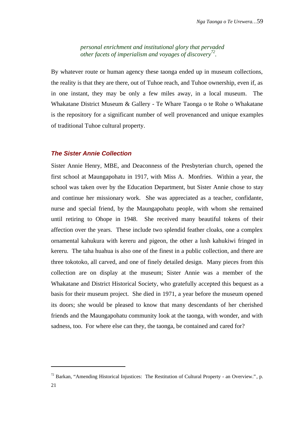*personal enrichment and institutional glory that pervaded other facets of imperialism and voyages of discovery<sup>72</sup> .*

By whatever route or human agency these taonga ended up in museum collections, the reality is that they are there, out of Tuhoe reach, and Tuhoe ownership, even if, as in one instant, they may be only a few miles away, in a local museum. The Whakatane District Museum & Gallery - Te Whare Taonga o te Rohe o Whakatane is the repository for a significant number of well provenanced and unique examples of traditional Tuhoe cultural property.

#### **The Sister Annie Collection**

Sister Annie Henry, MBE, and Deaconness of the Presbyterian church, opened the first school at Maungapohatu in 1917, with Miss A. Monfries. Within a year, the school was taken over by the Education Department, but Sister Annie chose to stay and continue her missionary work. She was appreciated as a teacher, confidante, nurse and special friend, by the Maungapohatu people, with whom she remained until retiring to Ohope in 1948. She received many beautiful tokens of their affection over the years. These include two splendid feather cloaks, one a complex ornamental kahukura with kereru and pigeon, the other a lush kahukiwi fringed in kereru. The taha huahua is also one of the finest in a public collection, and there are three tokotoko, all carved, and one of finely detailed design. Many pieces from this collection are on display at the museum; Sister Annie was a member of the Whakatane and District Historical Society, who gratefully accepted this bequest as a basis for their museum project. She died in 1971, a year before the museum opened its doors; she would be pleased to know that many descendants of her cherished friends and the Maungapohatu community look at the taonga, with wonder, and with sadness, too. For where else can they, the taonga, be contained and cared for?

 $^{72}$  Barkan, "Amending Historical Injustices: The Restitution of Cultural Property - an Overview.", p.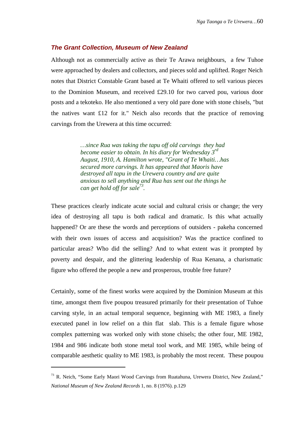#### **The Grant Collection, Museum of New Zealand**

Although not as commercially active as their Te Arawa neighbours, a few Tuhoe were approached by dealers and collectors, and pieces sold and uplifted. Roger Neich notes that District Constable Grant based at Te Whaiti offered to sell various pieces to the Dominion Museum, and received £29.10 for two carved pou, various door posts and a tekoteko. He also mentioned a very old pare done with stone chisels, "but the natives want £12 for it." Neich also records that the practice of removing carvings from the Urewera at this time occurred:

> *…since Rua was taking the tapu off old carvings they had become easier to obtain. In his diary for Wednesday 3rd August, 1910, A. Hamilton wrote, "Grant of Te Whaiti…has secured more carvings. It has appeared that Maoris have destroyed all tapu in the Urewera country and are quite anxious to sell anything and Rua has sent out the things he can get hold off for sale<sup>73</sup> .*

These practices clearly indicate acute social and cultural crisis or change; the very idea of destroying all tapu is both radical and dramatic. Is this what actually happened? Or are these the words and perceptions of outsiders - pakeha concerned with their own issues of access and acquisition? Was the practice confined to particular areas? Who did the selling? And to what extent was it prompted by poverty and despair, and the glittering leadership of Rua Kenana, a charismatic figure who offered the people a new and prosperous, trouble free future?

Certainly, some of the finest works were acquired by the Dominion Museum at this time, amongst them five poupou treasured primarily for their presentation of Tuhoe carving style, in an actual temporal sequence, beginning with ME 1983, a finely executed panel in low relief on a thin flat slab. This is a female figure whose complex patterning was worked only with stone chisels; the other four, ME 1982, 1984 and 986 indicate both stone metal tool work, and ME 1985, while being of comparable aesthetic quality to ME 1983, is probably the most recent. These poupou

j

 $73$  R. Neich, "Some Early Maori Wood Carvings from Ruatahuna, Urewera District, New Zealand," *National Museum of New Zealand Records* 1, no. 8 (1976). p.129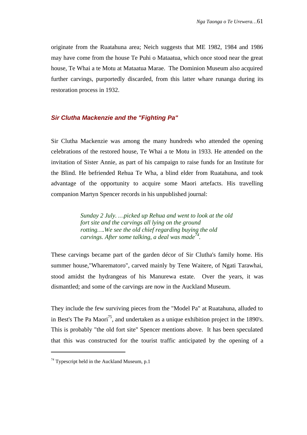originate from the Ruatahuna area; Neich suggests that ME 1982, 1984 and 1986 may have come from the house Te Puhi o Mataatua, which once stood near the great house, Te Whai a te Motu at Mataatua Marae. The Dominion Museum also acquired further carvings, purportedly discarded, from this latter whare runanga during its restoration process in 1932.

# **Sir Clutha Mackenzie and the "Fighting Pa"**

Sir Clutha Mackenzie was among the many hundreds who attended the opening celebrations of the restored house, Te Whai a te Motu in 1933. He attended on the invitation of Sister Annie, as part of his campaign to raise funds for an Institute for the Blind. He befriended Rehua Te Wha, a blind elder from Ruatahuna, and took advantage of the opportunity to acquire some Maori artefacts. His travelling companion Martyn Spencer records in his unpublished journal:

> *Sunday 2 July. …picked up Rehua and went to look at the old fort site and the carvings all lying on the ground rotting….We see the old chief regarding buying the old carvings. After some talking, a deal was made<sup>74</sup> .*

These carvings became part of the garden décor of Sir Clutha's family home. His summer house,"Wharematoro", carved mainly by Tene Waitere, of Ngati Tarawhai, stood amidst the hydrangeas of his Manurewa estate. Over the years, it was dismantled; and some of the carvings are now in the Auckland Museum.

They include the few surviving pieces from the "Model Pa" at Ruatahuna, alluded to in Best's The Pa Maori<sup>75</sup>, and undertaken as a unique exhibition project in the 1890's. This is probably "the old fort site" Spencer mentions above. It has been speculated that this was constructed for the tourist traffic anticipated by the opening of a

<sup>&</sup>lt;sup>74</sup> Typescript held in the Auckland Museum, p.1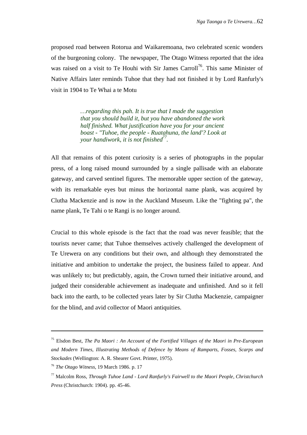proposed road between Rotorua and Waikaremoana, two celebrated scenic wonders of the burgeoning colony. The newspaper, The Otago Witness reported that the idea was raised on a visit to Te Houhi with Sir James Carroll<sup>76</sup>. This same Minister of Native Affairs later reminds Tuhoe that they had not finished it by Lord Ranfurly's visit in 1904 to Te Whai a te Motu

> *…regarding this pah. It is true that I made the suggestion that you should build it, but you have abandoned the work half finished. What justification have you for your ancient boast - "Tuhoe, the people - Ruatahuna, the land'? Look at your handiwork, it is not finished<sup>77</sup> .*

All that remains of this potent curiosity is a series of photographs in the popular press, of a long raised mound surrounded by a single pallisade with an elaborate gateway, and carved sentinel figures. The memorable upper section of the gateway, with its remarkable eyes but minus the horizontal name plank, was acquired by Clutha Mackenzie and is now in the Auckland Museum. Like the "fighting pa", the name plank, Te Tahi o te Rangi is no longer around.

Crucial to this whole episode is the fact that the road was never feasible; that the tourists never came; that Tuhoe themselves actively challenged the development of Te Urewera on any conditions but their own, and although they demonstrated the initiative and ambition to undertake the project, the business failed to appear. And was unlikely to; but predictably, again, the Crown turned their initiative around, and judged their considerable achievement as inadequate and unfinished. And so it fell back into the earth, to be collected years later by Sir Clutha Mackenzie, campaigner for the blind, and avid collector of Maori antiquities.

<sup>75</sup> Elsdon Best, *The Pa Maori : An Account of the Fortified Villages of the Maori in Pre-European and Modern Times, Illustrating Methods of Defence by Means of Ramparts, Fosses, Scarps and Stockades* (Wellington: A. R. Shearer Govt. Printer, 1975).

<sup>76</sup> *The Otago Witness*, 19 March 1986. p. 17

<sup>77</sup> Malcolm Ross, *Through Tuhoe Land - Lord Ranfurly's Fairwell to the Maori People*, *Christchurch Press* (Christchurch: 1904). pp. 45-46.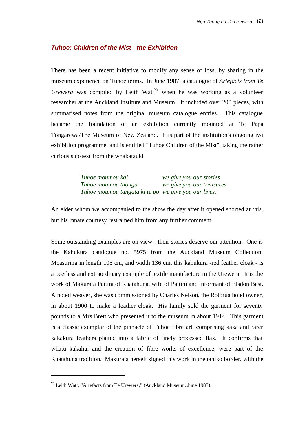# **Tuhoe: Children of the Mist - the Exhibition**

There has been a recent initiative to modify any sense of loss, by sharing in the museum experience on Tuhoe terms. In June 1987, a catalogue of *Artefacts from Te* Urewera was compiled by Leith Watt<sup>78</sup> when he was working as a volunteer researcher at the Auckland Institute and Museum. It included over 200 pieces, with summarised notes from the original museum catalogue entries. This catalogue became the foundation of an exhibition currently mounted at Te Papa Tongarewa/The Museum of New Zealand. It is part of the institution's ongoing iwi exhibition programme, and is entitled "Tuhoe Children of the Mist", taking the rather curious sub-text from the whakatauki

> *Tuhoe moumou kai we give you our stories Tuhoe moumou taonga we give you our treasures Tuhoe moumou tangata ki te po we give you our lives.*

An elder whom we accompanied to the show the day after it opened snorted at this, but his innate courtesy restrained him from any further comment.

Some outstanding examples are on view - their stories deserve our attention. One is the Kahukura catalogue no. 5975 from the Auckland Museum Collection. Measuring in length 105 cm, and width 136 cm, this kahukura -red feather cloak - is a peerless and extraordinary example of textile manufacture in the Urewera. It is the work of Makurata Paitini of Ruatahuna, wife of Paitini and informant of Elsdon Best. A noted weaver, she was commissioned by Charles Nelson, the Rotorua hotel owner, in about 1900 to make a feather cloak. His family sold the garment for seventy pounds to a Mrs Brett who presented it to the museum in about 1914. This garment is a classic exemplar of the pinnacle of Tuhoe fibre art, comprising kaka and rarer kakakura feathers plaited into a fabric of finely processed flax. It confirms that whatu kakahu, and the creation of fibre works of excellence, were part of the Ruatahuna tradition. Makurata herself signed this work in the taniko border, with the

<sup>&</sup>lt;sup>78</sup> Leith Watt, "Artefacts from Te Urewera," (Auckland Museum, June 1987).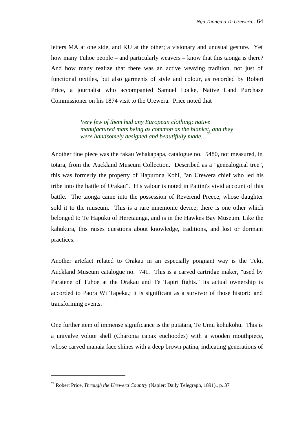letters MA at one side, and KU at the other; a visionary and unusual gesture. Yet how many Tuhoe people – and particularly weavers – know that this taonga is there? And how many realize that there was an active weaving tradition, not just of functional textiles, but also garments of style and colour, as recorded by Robert Price, a journalist who accompanied Samuel Locke, Native Land Purchase Commissioner on his 1874 visit to the Urewera. Price noted that

> *Very few of them had any European clothing; native manufactured mats being as common as the blanket, and they were handsomely designed and beautifully made…<sup>79</sup>*

Another fine piece was the rakau Whakapapa, catalogue no. 5480, not measured, in totara, from the Auckland Museum Collection. Described as a "genealogical tree", this was formerly the property of Hapurona Kohi, "an Urewera chief who led his tribe into the battle of Orakau". His valour is noted in Paitini's vivid account of this battle. The taonga came into the possession of Reverend Preece, whose daughter sold it to the museum. This is a rare mnemonic device; there is one other which belonged to Te Hapuku of Heretaunga, and is in the Hawkes Bay Museum. Like the kahukura, this raises questions about knowledge, traditions, and lost or dormant practices.

Another artefact related to Orakau in an especially poignant way is the Teki, Auckland Museum catalogue no. 741. This is a carved cartridge maker, "used by Paratene of Tuhoe at the Orakau and Te Tapiri fights." Its actual ownership is accorded to Paora Wi Tapeka.; it is significant as a survivor of those historic and transforming events.

One further item of immense significance is the putatara, Te Umu kohukohu. This is a univalve volute shell (Charonia capax euclioodes) with a wooden mouthpiece, whose carved manaia face shines with a deep brown patina, indicating generations of

<sup>79</sup> Robert Price, *Through the Urewera Country* (Napier: Daily Telegraph, 1891)., p. 37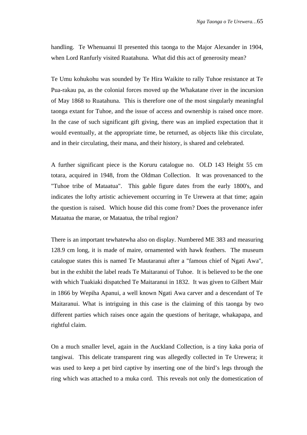handling. Te Whenuanui II presented this taonga to the Major Alexander in 1904, when Lord Ranfurly visited Ruatahuna. What did this act of generosity mean?

Te Umu kohukohu was sounded by Te Hira Waikite to rally Tuhoe resistance at Te Pua-rakau pa, as the colonial forces moved up the Whakatane river in the incursion of May 1868 to Ruatahuna. This is therefore one of the most singularly meaningful taonga extant for Tuhoe, and the issue of access and ownership is raised once more. In the case of such significant gift giving, there was an implied expectation that it would eventually, at the appropriate time, be returned, as objects like this circulate, and in their circulating, their mana, and their history, is shared and celebrated.

A further significant piece is the Koruru catalogue no. OLD 143 Height 55 cm totara, acquired in 1948, from the Oldman Collection. It was provenanced to the "Tuhoe tribe of Mataatua". This gable figure dates from the early 1800's, and indicates the lofty artistic achievement occurring in Te Urewera at that time; again the question is raised. Which house did this come from? Does the provenance infer Mataatua the marae, or Mataatua, the tribal region?

There is an important tewhatewha also on display. Numbered ME 383 and measuring 128.9 cm long, it is made of maire, ornamented with hawk feathers. The museum catalogue states this is named Te Mautaranui after a "famous chief of Ngati Awa", but in the exhibit the label reads Te Maitaranui of Tuhoe. It is believed to be the one with which Tuakiaki dispatched Te Maitaranui in 1832. It was given to Gilbert Mair in 1866 by Wepiha Apanui, a well known Ngati Awa carver and a descendant of Te Maitaranui. What is intriguing in this case is the claiming of this taonga by two different parties which raises once again the questions of heritage, whakapapa, and rightful claim.

On a much smaller level, again in the Auckland Collection, is a tiny kaka poria of tangiwai. This delicate transparent ring was allegedly collected in Te Urewera; it was used to keep a pet bird captive by inserting one of the bird's legs through the ring which was attached to a muka cord. This reveals not only the domestication of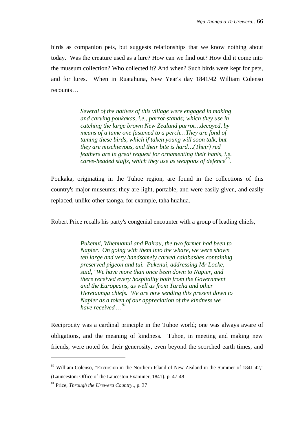birds as companion pets, but suggests relationships that we know nothing about today. Was the creature used as a lure? How can we find out? How did it come into the museum collection? Who collected it? And when? Such birds were kept for pets, and for lures. When in Ruatahuna, New Year's day 1841/42 William Colenso recounts…

> *Several of the natives of this village were engaged in making and carving poukakas, i.e., parrot-stands; which they use in catching the large brown New Zealand parrot…decoyed, by means of a tame one fastened to a perch…They are fond of taming these birds, which if taken young will soon talk, but they are mischievous, and their bite is hard…(Their) red feathers are in great request for ornamenting their hanis, i.e. carve-headed staffs, which they use as weapons of defence<sup>80</sup> .*

Poukaka, originating in the Tuhoe region, are found in the collections of this country's major museums; they are light, portable, and were easily given, and easily replaced, unlike other taonga, for example, taha huahua.

Robert Price recalls his party's congenial encounter with a group of leading chiefs,

*Pukenui, Whenuanui and Pairau, the two former had been to Napier. On going with them into the whare, we were shown ten large and very handsomely carved calabashes containing preserved pigeon and tui. Pukenui, addressing Mr Locke, said, "We have more than once been down to Napier, and there received every hospitality both from the Government and the Europeans, as well as from Tareha and other Heretaunga chiefs. We are now sending this present down to Napier as a token of our appreciation of the kindness we have received …<sup>81</sup>*

Reciprocity was a cardinal principle in the Tuhoe world; one was always aware of obligations, and the meaning of kindness. Tuhoe, in meeting and making new friends, were noted for their generosity, even beyond the scorched earth times, and

j

<sup>80</sup> William Colenso, "Excursion in the Northern Island of New Zealand in the Summer of 1841-42," (Launceston: Office of the Lauceston Examiner, 1841). p. 47-48

<sup>81</sup> Price, *Through the Urewera Country*., p. 37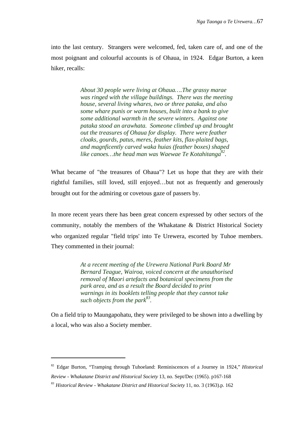into the last century. Strangers were welcomed, fed, taken care of, and one of the most poignant and colourful accounts is of Ohaua, in 1924. Edgar Burton, a keen hiker, recalls:

> *About 30 people were living at Ohaua….The grassy marae was ringed with the village buildings. There was the meeting house, several living whares, two or three pataka, and also some whare punis or warm houses, built into a bank to give some additional warmth in the severe winters. Against one pataka stood an arawhata. Someone climbed up and brought out the treasures of Ohaua for display. There were feather cloaks, gourds, patus, meres, feather kits, flax-plaited bags, and magnficently carved waka huias (feather boxes) shaped like canoes…the head man was Waewae Te Kotahitanga<sup>82</sup> .*

What became of "the treasures of Ohaua"? Let us hope that they are with their rightful families, still loved, still enjoyed…but not as frequently and generously brought out for the admiring or covetous gaze of passers by.

In more recent years there has been great concern expressed by other sectors of the community, notably the members of the Whakatane & District Historical Society who organized regular "field trips' into Te Urewera, escorted by Tuhoe members. They commented in their journal:

> *At a recent meeting of the Urewera National Park Board Mr Bernard Teague, Wairoa, voiced concern at the unauthorised removal of Maori artefacts and botanical specimens from the park area, and as a result the Board decided to print warnings in its booklets telling people that they cannot take such objects from the park<sup>83</sup> .*

On a field trip to Maungapohatu, they were privileged to be shown into a dwelling by a local, who was also a Society member.

j

<sup>82</sup> Edgar Burton, "Tramping through Tuhoeland: Reminiscences of a Journey in 1924," *Historical Review - Whakatane District and Historical Society* 13, no. Sept/Dec (1965). p167-168

<sup>83</sup> *Historical Review - Whakatane District and Historical Society* 11, no. 3 (1963).p. 162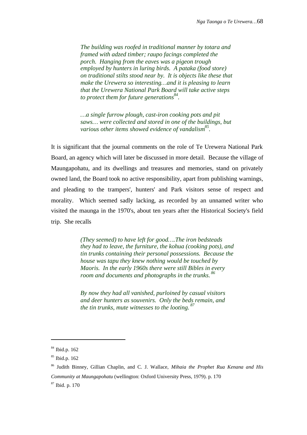*The building was roofed in traditional manner by totara and framed with adzed timber; raupo facings completed the porch. Hanging from the eaves was a pigeon trough employed by hunters in luring birds. A pataka (food store) on traditional stilts stood near by. It is objects like these that make the Urewera so interesting…and it is pleasing to learn that the Urewera National Park Board will take active steps to protect them for future generations<sup>84</sup> .*

*…a single furrow plough, cast-iron cooking pots and pit saws… were collected and stored in one of the buildings, but various other items showed evidence of vandalism<sup>85</sup> .*

It is significant that the journal comments on the role of Te Urewera National Park Board, an agency which will later be discussed in more detail. Because the village of Maungapohatu, and its dwellings and treasures and memories, stand on privately owned land, the Board took no active responsibility, apart from publishing warnings, and pleading to the trampers', hunters' and Park visitors sense of respect and morality. Which seemed sadly lacking, as recorded by an unnamed writer who visited the maunga in the 1970's, about ten years after the Historical Society's field trip. She recalls

> *(They seemed) to have left for good….The iron bedsteads they had to leave, the furniture, the kohua (cooking pots), and tin trunks containing their personal possessions. Because the house was tapu they knew nothing would be touched by Maoris. In the early 1960s there were still Bibles in every room and documents and photographs in the trunks. <sup>86</sup>*

*By now they had all vanished, purloined by casual visitors and deer hunters as souvenirs. Only the beds remain, and the tin trunks, mute witnesses to the looting. <sup>87</sup>*

<sup>84</sup> Ibid.p. 162

<sup>85</sup> Ibid.p. 162

<sup>86</sup> Judith Binney, Gillian Chaplin, and C. J. Wallace, *Mihaia the Prophet Rua Kenana and His Community at Maungapohatu* (wellington: Oxford University Press, 1979). p. 170

<sup>87</sup> Ibid. p. 170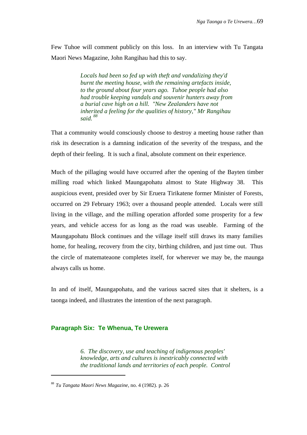Few Tuhoe will comment publicly on this loss. In an interview with Tu Tangata Maori News Magazine, John Rangihau had this to say.

> *Locals had been so fed up with theft and vandalizing they'd burnt the meeting house, with the remaining artefacts inside, to the ground about four years ago. Tuhoe people had also had trouble keeping vandals and souvenir hunters away from a burial cave high on a hill. "New Zealanders have not inherited a feeling for the qualities of history," Mr Rangihau said. <sup>88</sup>*

That a community would consciously choose to destroy a meeting house rather than risk its desecration is a damning indication of the severity of the trespass, and the depth of their feeling. It is such a final, absolute comment on their experience.

Much of the pillaging would have occurred after the opening of the Bayten timber milling road which linked Maungapohatu almost to State Highway 38. This auspicious event, presided over by Sir Eruera Tirikatene former Minister of Forests, occurred on 29 February 1963; over a thousand people attended. Locals were still living in the village, and the milling operation afforded some prosperity for a few years, and vehicle access for as long as the road was useable. Farming of the Maungapohatu Block continues and the village itself still draws its many families home, for healing, recovery from the city, birthing children, and just time out. Thus the circle of matemateaone completes itself, for wherever we may be, the maunga always calls us home.

In and of itself, Maungapohatu, and the various sacred sites that it shelters, is a taonga indeed, and illustrates the intention of the next paragraph.

## **Paragraph Six: Te Whenua, Te Urewera**

*6. The discovery, use and teaching of indigenous peoples' knowledge, arts and cultures is inextricably connected with the traditional lands and territories of each people. Control*

l

<sup>88</sup> *Tu Tangata Maori News Magazine*, no. 4 (1982). p. 26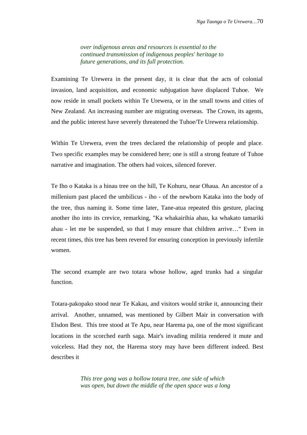*over indigenous areas and resources is essential to the continued transmission of indigenous peoples' heritage to future generations, and its full protection.*

Examining Te Urewera in the present day, it is clear that the acts of colonial invasion, land acquisition, and economic subjugation have displaced Tuhoe. We now reside in small pockets within Te Urewera, or in the small towns and cities of New Zealand. An increasing number are migrating overseas. The Crown, its agents, and the public interest have severely threatened the Tuhoe/Te Urewera relationship.

Within Te Urewera, even the trees declared the relationship of people and place. Two specific examples may be considered here; one is still a strong feature of Tuhoe narrative and imagination. The others had voices, silenced forever.

Te Iho o Kataka is a hinau tree on the hill, Te Kohuru, near Ohaua. An ancestor of a millenium past placed the umbilicus - iho - of the newborn Kataka into the body of the tree, thus naming it. Some time later, Tane-atua repeated this gesture, placing another iho into its crevice, remarking, "Ka whakairihia ahau, ka whakato tamariki ahau - let me be suspended, so that I may ensure that children arrive…" Even in recent times, this tree has been revered for ensuring conception in previously infertile women.

The second example are two totara whose hollow, aged trunks had a singular function.

Totara-pakopako stood near Te Kakau, and visitors would strike it, announcing their arrival. Another, unnamed, was mentioned by Gilbert Mair in conversation with Elsdon Best. This tree stood at Te Apu, near Harema pa, one of the most significant locations in the scorched earth saga. Mair's invading militia rendered it mute and voiceless. Had they not, the Harema story may have been different indeed. Best describes it

> *This tree gong was a hollow totara tree, one side of which was open, but down the middle of the open space was a long*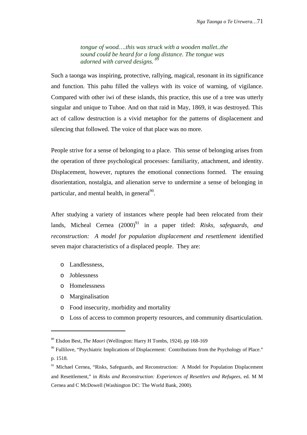*tongue of wood….this was struck with a wooden mallet..the sound could be heard for a long distance. The tongue was adorned with carved designs. <sup>89</sup>*

Such a taonga was inspiring, protective, rallying, magical, resonant in its significance and function. This pahu filled the valleys with its voice of warning, of vigilance. Compared with other iwi of these islands, this practice, this use of a tree was utterly singular and unique to Tuhoe. And on that raid in May, 1869, it was destroyed. This act of callow destruction is a vivid metaphor for the patterns of displacement and silencing that followed. The voice of that place was no more.

People strive for a sense of belonging to a place. This sense of belonging arises from the operation of three psychological processes: familiarity, attachment, and identity. Displacement, however, ruptures the emotional connections formed. The ensuing disorientation, nostalgia, and alienation serve to undermine a sense of belonging in particular, and mental health, in general<sup>90</sup>.

After studying a variety of instances where people had been relocated from their lands, Micheal Cernea (2000)<sup>91</sup> in a paper titled: *Risks, safeguards, and reconstruction: A model for population displacement and resettlement* identified seven major characteristics of a displaced people. They are:

- o Landlessness,
- o Joblessness

l

- o Homelessness
- o Marginalisation
- o Food insecurity, morbidity and mortality
- o Loss of access to common property resources, and community disarticulation.

<sup>89</sup> Elsdon Best, *The Maori* (Wellington: Harry H Tombs, 1924). pp 168-169

<sup>&</sup>lt;sup>90</sup> Fullilove, "Psychiatric Implications of Displacement: Contributions from the Psychology of Place." p. 1518.

 $91$  Michael Cernea, "Risks, Safeguards, and Reconstruction: A Model for Population Displacement and Resettlement," in *Risks and Reconstruction: Experiences of Resettlers and Refugees*, ed. M M Cernea and C McDowell (Washington DC: The World Bank, 2000).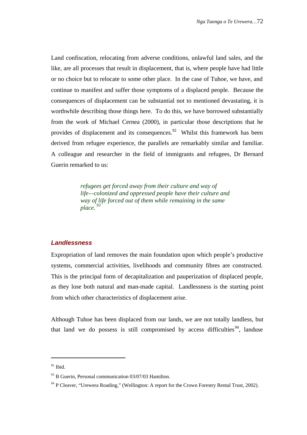Land confiscation, relocating from adverse conditions, unlawful land sales, and the like, are all processes that result in displacement, that is, where people have had little or no choice but to relocate to some other place. In the case of Tuhoe, we have, and continue to manifest and suffer those symptoms of a displaced people. Because the consequences of displacement can be substantial not to mentioned devastating, it is worthwhile describing those things here. To do this, we have borrowed substantially from the work of Michael Cernea (2000), in particular those descriptions that he provides of displacement and its consequences. $92$  Whilst this framework has been derived from refugee experience, the parallels are remarkably similar and familiar. A colleague and researcher in the field of immigrants and refugees, Dr Bernard Guerin remarked to us:

> *refugees get forced away from their culture and way of life—colonized and oppressed people have their culture and way of life forced out of them while remaining in the same*  $place^3$

### **Landlessness**

Expropriation of land removes the main foundation upon which people's productive systems, commercial activities, livelihoods and community fibres are constructed. This is the principal form of decapitalization and pauperization of displaced people, as they lose both natural and man-made capital. Landlessness is the starting point from which other characteristics of displacement arise.

Although Tuhoe has been displaced from our lands, we are not totally landless, but that land we do possess is still compromised by access difficulties<sup>94</sup>, landuse

j

 $92$  Ibid.

 $93$  B Guerin, Personal communication 03/07/03 Hamilton.

<sup>&</sup>lt;sup>94</sup> P Cleaver, "Urewera Roading," (Wellington: A report for the Crown Forestry Rental Trust, 2002).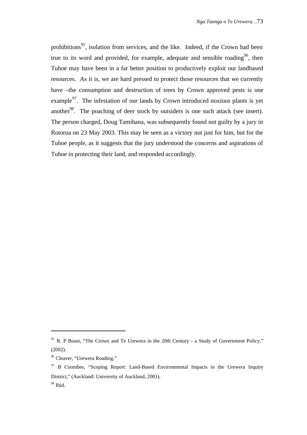prohibitions<sup>95</sup>, isolation from services, and the like. Indeed, if the Crown had been true to its word and provided, for example, adequate and sensible roading<sup>96</sup>, then Tuhoe may have been in a far better position to productively exploit our landbased resources. As it is, we are hard pressed to protect those resources that we currently have –the consumption and destruction of trees by Crown approved pests is one example $^{97}$ . The infestation of our lands by Crown introduced noxious plants is yet another<sup>98</sup>. The poaching of deer stock by outsiders is one such attack (see insert). The person charged, Doug Tamihana, was subsequently found not guilty by a jury in Rotorua on 23 May 2003. This may be seen as a victory not just for him, but for the Tuhoe people, as it suggests that the jury understood the concerns and aspirations of Tuhoe in protecting their land, and responded accordingly.

l

<sup>&</sup>lt;sup>95</sup> R. P Boast, "The Crown and Te Urewera in the 20th Century - a Study of Government Policy." (2002).

<sup>&</sup>lt;sup>96</sup> Cleaver, "Urewera Roading."

 $97$  B Coombes, "Scoping Report: Land-Based Environmental Impacts in the Urewera Inquiry District," (Auckland: University of Auckland, 2001). <sup>98</sup> Ibid.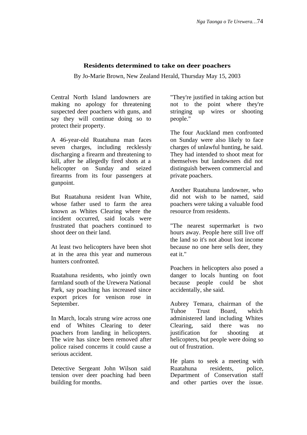## **Residents determined to take on deer poachers**

By Jo-Marie Brown, New Zealand Herald, Thursday May 15, 2003

Central North Island landowners are making no apology for threatening suspected deer poachers with guns, and say they will continue doing so to protect their property.

A 46-year-old Ruatahuna man faces seven charges, including recklessly discharging a firearm and threatening to kill, after he allegedly fired shots at a helicopter on Sunday and seized firearms from its four passengers at gunpoint.

But Ruatahuna resident Ivan White, whose father used to farm the area known as Whites Clearing where the incident occurred, said locals were frustrated that poachers continued to shoot deer on their land.

At least two helicopters have been shot at in the area this year and numerous hunters confronted.

Ruatahuna residents, who jointly own farmland south of the Urewera National Park, say poaching has increased since export prices for venison rose in September.

In March, locals strung wire across one end of Whites Clearing to deter poachers from landing in helicopters. The wire has since been removed after police raised concerns it could cause a serious accident.

Detective Sergeant John Wilson said tension over deer poaching had been building for months.

"They're justified in taking action but not to the point where they're stringing up wires or shooting people."

The four Auckland men confronted on Sunday were also likely to face charges of unlawful hunting, he said. They had intended to shoot meat for themselves but landowners did not distinguish between commercial and private poachers.

Another Ruatahuna landowner, who did not wish to be named, said poachers were taking a valuable food resource from residents.

"The nearest supermarket is two hours away. People here still live off the land so it's not about lost income because no one here sells deer, they eat it."

Poachers in helicopters also posed a danger to locals hunting on foot because people could be shot accidentally, she said.

Aubrey Temara, chairman of the Tuhoe Trust Board, which administered land including Whites Clearing, said there was no justification for shooting at helicopters, but people were doing so out of frustration.

He plans to seek a meeting with Ruatahuna residents, police, Department of Conservation staff and other parties over the issue.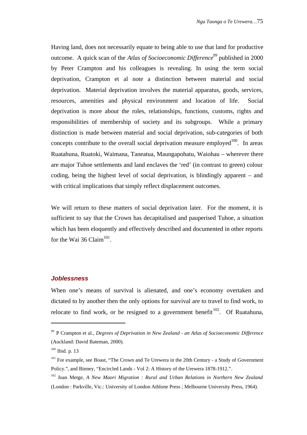Having land, does not necessarily equate to being able to use that land for productive outcome. A quick scan of the *Atlas of Socioeconomic Difference<sup>99</sup>* published in 2000 by Peter Crampton and his colleagues is revealing. In using the term social deprivation, Crampton et al note a distinction between material and social deprivation. Material deprivation involves the material apparatus, goods, services, resources, amenities and physical environment and location of life. Social deprivation is more about the roles, relationships, functions, customs, rights and responsibilities of membership of society and its subgroups. While a primary distinction is made between material and social deprivation, sub-categories of both concepts contribute to the overall social deprivation measure employed  $100$ . In areas Ruatahuna, Ruatoki, Waimana, Taneatua, Maungapohatu, Waiohau – wherever there are major Tuhoe settlements and land enclaves the 'red' (in contrast to green) colour coding, being the highest level of social deprivation, is blindingly apparent – and with critical implications that simply reflect displacement outcomes.

We will return to these matters of social deprivation later. For the moment, it is sufficient to say that the Crown has decapitalised and pauperised Tuhoe, a situation which has been eloquently and effectively described and documented in other reports for the Wai 36 Claim $^{101}$ .

#### **Joblessness**

When one's means of survival is alienated, and one's economy overtaken and dictated to by another then the only options for survival are to travel to find work, to relocate to find work, or be resigned to a government benefit  $102$ . Of Ruatahuna,

l

<sup>&</sup>lt;sup>99</sup> P Crampton et al., *Degrees of Deprivation in New Zealand - an Atlas of Socioeconomic Difference* (Auckland: David Bateman, 2000).

 $100$  Ibid. p. 13

<sup>&</sup>lt;sup>101</sup> For example, see Boast, "The Crown and Te Urewera in the 20th Century - a Study of Government Policy.", and Binney, "Encircled Lands - Vol 2: A History of the Urewera 1878-1912.".

<sup>102</sup> Joan Metge, *A New Maori Migration : Rural and Urban Relations in Northern New Zealand* (London : Parkville, Vic.: University of London Athlone Press ; Melbourne University Press, 1964).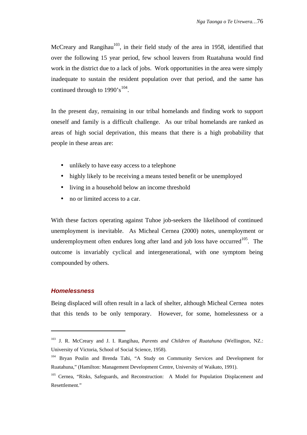McCreary and Rangihau<sup>103</sup>, in their field study of the area in 1958, identified that over the following 15 year period, few school leavers from Ruatahuna would find work in the district due to a lack of jobs. Work opportunities in the area were simply inadequate to sustain the resident population over that period, and the same has continued through to  $1990 \degree s^{104}$ .

In the present day, remaining in our tribal homelands and finding work to support oneself and family is a difficult challenge. As our tribal homelands are ranked as areas of high social deprivation, this means that there is a high probability that people in these areas are:

- unlikely to have easy access to a telephone
- highly likely to be receiving a means tested benefit or be unemployed
- living in a household below an income threshold
- no or limited access to a car.

With these factors operating against Tuhoe job-seekers the likelihood of continued unemployment is inevitable. As Micheal Cernea (2000) notes, unemployment or underemployment often endures long after land and job loss have occurred $^{105}$ . The outcome is invariably cyclical and intergenerational, with one symptom being compounded by others.

### **Homelessness**

l

Being displaced will often result in a lack of shelter, although Micheal Cernea notes that this tends to be only temporary. However, for some, homelessness or a

<sup>103</sup> J. R. McCreary and J. I. Rangihau, *Parents and Children of Ruatahuna* (Wellington, NZ.: University of Victoria, School of Social Science, 1958).

<sup>104</sup> Bryan Poulin and Brenda Tahi, "A Study on Community Services and Development for Ruatahuna," (Hamilton: Management Development Centre, University of Waikato, 1991).

<sup>&</sup>lt;sup>105</sup> Cernea, "Risks, Safeguards, and Reconstruction: A Model for Population Displacement and Resettlement."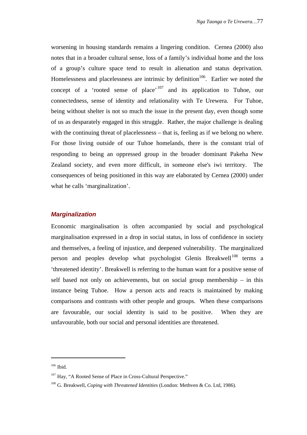worsening in housing standards remains a lingering condition. Cernea (2000) also notes that in a broader cultural sense, loss of a family's individual home and the loss of a group's culture space tend to result in alienation and status deprivation. Homelessness and placelessness are intrinsic by definition  $106$ . Earlier we noted the concept of a 'rooted sense of place'<sup>107</sup> and its application to Tuhoe, our connectedness, sense of identity and relationality with Te Urewera. For Tuhoe, being without shelter is not so much the issue in the present day, even though some of us as desparately engaged in this struggle. Rather, the major challenge is dealing with the continuing threat of placelessness – that is, feeling as if we belong no where. For those living outside of our Tuhoe homelands, there is the constant trial of responding to being an oppressed group in the broader dominant Pakeha New Zealand society, and even more difficult, in someone else's iwi territory. The consequences of being positioned in this way are elaborated by Cernea (2000) under what he calls 'marginalization'.

### **Marginalization**

Economic marginalisation is often accompanied by social and psychological marginalisation expressed in a drop in social status, in loss of confidence in society and themselves, a feeling of injustice, and deepened vulnerability. The marginalized person and peoples develop what psychologist Glenis Breakwell<sup>108</sup> terms a 'threatened identity'. Breakwell is referring to the human want for a positive sense of self based not only on achievements, but on social group membership – in this instance being Tuhoe. How a person acts and reacts is maintained by making comparisons and contrasts with other people and groups. When these comparisons are favourable, our social identity is said to be positive. When they are unfavourable, both our social and personal identities are threatened.

j

<sup>106</sup> Ibid.

 $107$  Hay, "A Rooted Sense of Place in Cross-Cultural Perspective."

<sup>108</sup> G. Breakwell, *Coping with Threatened Identities* (London: Methven & Co. Ltd, 1986).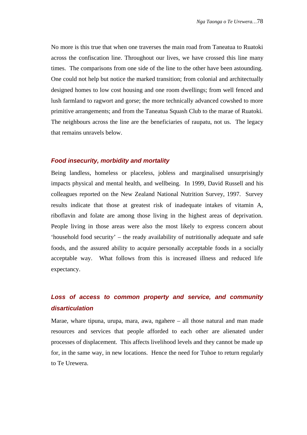No more is this true that when one traverses the main road from Taneatua to Ruatoki across the confiscation line. Throughout our lives, we have crossed this line many times. The comparisons from one side of the line to the other have been astounding. One could not help but notice the marked transition; from colonial and architectually designed homes to low cost housing and one room dwellings; from well fenced and lush farmland to ragwort and gorse; the more technically advanced cowshed to more primitive arrangements; and from the Taneatua Squash Club to the marae of Ruatoki. The neighbours across the line are the beneficiaries of raupatu, not us. The legacy that remains unravels below.

#### **Food insecurity, morbidity and mortality**

Being landless, homeless or placeless, jobless and marginalised unsurprisingly impacts physical and mental health, and wellbeing. In 1999, David Russell and his colleagues reported on the New Zealand National Nutrition Survey, 1997. Survey results indicate that those at greatest risk of inadequate intakes of vitamin A, riboflavin and folate are among those living in the highest areas of deprivation. People living in those areas were also the most likely to express concern about 'household food security' – the ready availability of nutritionally adequate and safe foods, and the assured ability to acquire personally acceptable foods in a socially acceptable way. What follows from this is increased illness and reduced life expectancy.

# **Loss of access to common property and service, and community disarticulation**

Marae, whare tipuna, urupa, mara, awa, ngahere – all those natural and man made resources and services that people afforded to each other are alienated under processes of displacement. This affects livelihood levels and they cannot be made up for, in the same way, in new locations. Hence the need for Tuhoe to return regularly to Te Urewera.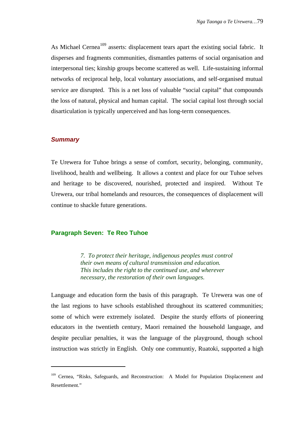As Michael Cernea<sup>109</sup> asserts: displacement tears apart the existing social fabric. It disperses and fragments communities, dismantles patterns of social organisation and interpersonal ties; kinship groups become scattered as well. Life-sustaining informal networks of reciprocal help, local voluntary associations, and self-organised mutual service are disrupted. This is a net loss of valuable "social capital" that compounds the loss of natural, physical and human capital. The social capital lost through social disarticulation is typically unperceived and has long-term consequences.

### **Summary**

l

Te Urewera for Tuhoe brings a sense of comfort, security, belonging, community, livelihood, health and wellbeing. It allows a context and place for our Tuhoe selves and heritage to be discovered, nourished, protected and inspired. Without Te Urewera, our tribal homelands and resources, the consequences of displacement will continue to shackle future generations.

### **Paragraph Seven: Te Reo Tuhoe**

*7. To protect their heritage, indigenous peoples must control their own means of cultural transmission and education. This includes the right to the continued use, and wherever necessary, the restoration of their own languages.*

Language and education form the basis of this paragraph. Te Urewera was one of the last regions to have schools established throughout its scattered communities; some of which were extremely isolated. Despite the sturdy efforts of pioneering educators in the twentieth century, Maori remained the household language, and despite peculiar penalties, it was the language of the playground, though school instruction was strictly in English. Only one communtiy, Ruatoki, supported a high

<sup>&</sup>lt;sup>109</sup> Cernea, "Risks, Safeguards, and Reconstruction: A Model for Population Displacement and Resettlement."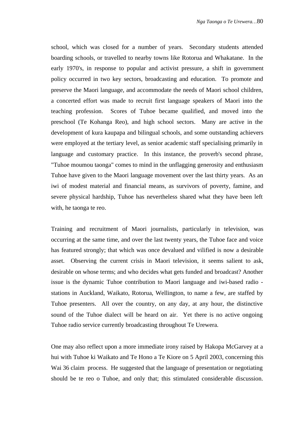school, which was closed for a number of years. Secondary students attended boarding schools, or travelled to nearby towns like Rotorua and Whakatane. In the early 1970's, in response to popular and activist pressure, a shift in government policy occurred in two key sectors, broadcasting and education. To promote and preserve the Maori language, and accommodate the needs of Maori school children, a concerted effort was made to recruit first language speakers of Maori into the teaching profession. Scores of Tuhoe became qualified, and moved into the preschool (Te Kohanga Reo), and high school sectors. Many are active in the development of kura kaupapa and bilingual schools, and some outstanding achievers were employed at the tertiary level, as senior academic staff specialising primarily in language and customary practice. In this instance, the proverb's second phrase, "Tuhoe moumou taonga" comes to mind in the unflagging generosity and enthusiasm Tuhoe have given to the Maori language movement over the last thirty years. As an iwi of modest material and financial means, as survivors of poverty, famine, and severe physical hardship, Tuhoe has nevertheless shared what they have been left with, he taonga te reo.

Training and recruitment of Maori journalists, particularly in television, was occurring at the same time, and over the last twenty years, the Tuhoe face and voice has featured strongly; that which was once devalued and vilified is now a desirable asset. Observing the current crisis in Maori television, it seems salient to ask, desirable on whose terms; and who decides what gets funded and broadcast? Another issue is the dynamic Tuhoe contribution to Maori language and iwi-based radio stations in Auckland, Waikato, Rotorua, Wellington, to name a few, are staffed by Tuhoe presenters. All over the country, on any day, at any hour, the distinctive sound of the Tuhoe dialect will be heard on air. Yet there is no active ongoing Tuhoe radio service currently broadcasting throughout Te Urewera.

One may also reflect upon a more immediate irony raised by Hakopa McGarvey at a hui with Tuhoe ki Waikato and Te Hono a Te Kiore on 5 April 2003, concerning this Wai 36 claim process. He suggested that the language of presentation or negotiating should be te reo o Tuhoe, and only that; this stimulated considerable discussion.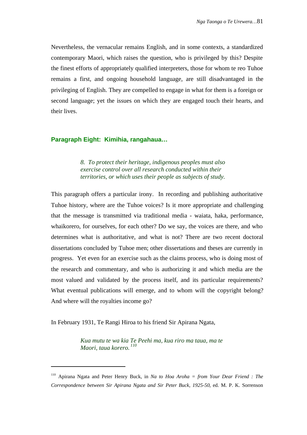Nevertheless, the vernacular remains English, and in some contexts, a standardized contemporary Maori, which raises the question, who is privileged by this? Despite the finest efforts of appropriately qualified interpreters, those for whom te reo Tuhoe remains a first, and ongoing household language, are still disadvantaged in the privileging of English. They are compelled to engage in what for them is a foreign or second language; yet the issues on which they are engaged touch their hearts, and their lives.

### **Paragraph Eight: Kimihia, rangahaua…**

*8. To protect their heritage, indigenous peoples must also exercise control over all research conducted within their territories, or which uses their people as subjects of study.*

This paragraph offers a particular irony. In recording and publishing authoritative Tuhoe history, where are the Tuhoe voices? Is it more appropriate and challenging that the message is transmitted via traditional media - waiata, haka, performance, whaikorero, for ourselves, for each other? Do we say, the voices are there, and who determines what is authoritative, and what is not? There are two recent doctoral dissertations concluded by Tuhoe men; other dissertations and theses are currently in progress. Yet even for an exercise such as the claims process, who is doing most of the research and commentary, and who is authorizing it and which media are the most valued and validated by the process itself, and its particular requirements? What eventual publications will emerge, and to whom will the copyright belong? And where will the royalties income go?

In February 1931, Te Rangi Hiroa to his friend Sir Apirana Ngata,

l

*Kua mutu te wa kia Te Peehi ma, kua riro ma taua, ma te Maori, taua korero. <sup>110</sup>*

<sup>110</sup> Apirana Ngata and Peter Henry Buck, in *Na to Hoa Aroha = from Your Dear Friend : The Correspondence between Sir Apirana Ngata and Sir Peter Buck, 1925-50*, ed. M. P. K. Sorrenson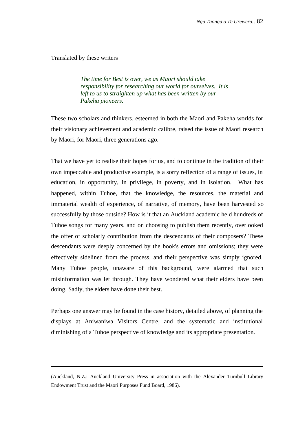Translated by these writers

l

*The time for Best is over, we as Maori should take responsibility for researching our world for ourselves. It is left to us to straighten up what has been written by our Pakeha pioneers.*

These two scholars and thinkers, esteemed in both the Maori and Pakeha worlds for their visionary achievement and academic calibre, raised the issue of Maori research by Maori, for Maori, three generations ago.

That we have yet to realise their hopes for us, and to continue in the tradition of their own impeccable and productive example, is a sorry reflection of a range of issues, in education, in opportunity, in privilege, in poverty, and in isolation. What has happened, within Tuhoe, that the knowledge, the resources, the material and immaterial wealth of experience, of narrative, of memory, have been harvested so successfully by those outside? How is it that an Auckland academic held hundreds of Tuhoe songs for many years, and on choosing to publish them recently, overlooked the offer of scholarly contribution from the descendants of their composers? These descendants were deeply concerned by the book's errors and omissions; they were effectively sidelined from the process, and their perspective was simply ignored. Many Tuhoe people, unaware of this background, were alarmed that such misinformation was let through. They have wondered what their elders have been doing. Sadly, the elders have done their best.

Perhaps one answer may be found in the case history, detailed above, of planning the displays at Aniwaniwa Visitors Centre, and the systematic and institutional diminishing of a Tuhoe perspective of knowledge and its appropriate presentation.

<sup>(</sup>Auckland, N.Z.: Auckland University Press in association with the Alexander Turnbull Library Endowment Trust and the Maori Purposes Fund Board, 1986).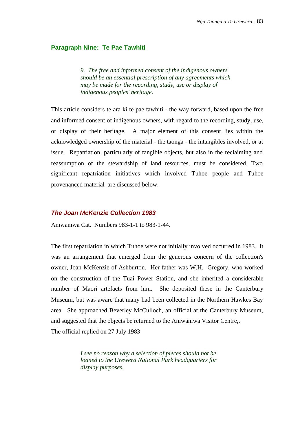#### **Paragraph Nine: Te Pae Tawhiti**

*9. The free and informed consent of the indigenous owners should be an essential prescription of any agreements which may be made for the recording, study, use or display of indigenous peoples' heritage.*

This article considers te ara ki te pae tawhiti - the way forward, based upon the free and informed consent of indigenous owners, with regard to the recording, study, use, or display of their heritage. A major element of this consent lies within the acknowledged ownership of the material - the taonga - the intangibles involved, or at issue. Repatriation, particularly of tangible objects, but also in the reclaiming and reassumption of the stewardship of land resources, must be considered. Two significant repatriation initiatives which involved Tuhoe people and Tuhoe provenanced material are discussed below.

## **The Joan McKenzie Collection 1983**

Aniwaniwa Cat. Numbers 983-1-1 to 983-1-44.

The first repatriation in which Tuhoe were not initially involved occurred in 1983. It was an arrangement that emerged from the generous concern of the collection's owner, Joan McKenzie of Ashburton. Her father was W.H. Gregory, who worked on the construction of the Tuai Power Station, and she inherited a considerable number of Maori artefacts from him. She deposited these in the Canterbury Museum, but was aware that many had been collected in the Northern Hawkes Bay area. She approached Beverley McCulloch, an official at the Canterbury Museum, and suggested that the objects be returned to the Aniwaniwa Visitor Centre,.

The official replied on 27 July 1983

*I see no reason why a selection of pieces should not be loaned to the Urewera National Park headquarters for display purposes.*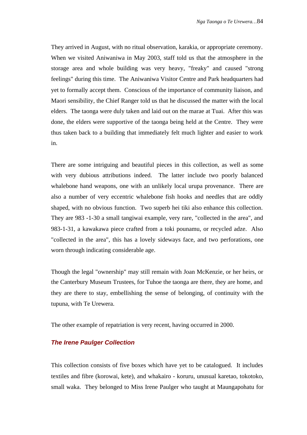They arrived in August, with no ritual observation, karakia, or appropriate ceremony. When we visited Aniwaniwa in May 2003, staff told us that the atmosphere in the storage area and whole building was very heavy, "freaky" and caused "strong feelings" during this time. The Aniwaniwa Visitor Centre and Park headquarters had yet to formally accept them. Conscious of the importance of community liaison, and Maori sensibility, the Chief Ranger told us that he discussed the matter with the local elders. The taonga were duly taken and laid out on the marae at Tuai. After this was done, the elders were supportive of the taonga being held at the Centre. They were thus taken back to a building that immediately felt much lighter and easier to work in.

There are some intriguing and beautiful pieces in this collection, as well as some with very dubious attributions indeed. The latter include two poorly balanced whalebone hand weapons, one with an unlikely local urupa provenance. There are also a number of very eccentric whalebone fish hooks and needles that are oddly shaped, with no obvious function. Two superb hei tiki also enhance this collection. They are 983 -1-30 a small tangiwai example, very rare, "collected in the area", and 983-1-31, a kawakawa piece crafted from a toki pounamu, or recycled adze. Also "collected in the area", this has a lovely sideways face, and two perforations, one worn through indicating considerable age.

Though the legal "ownership" may still remain with Joan McKenzie, or her heirs, or the Canterbury Museum Trustees, for Tuhoe the taonga are there, they are home, and they are there to stay, embellishing the sense of belonging, of continuity with the tupuna, with Te Urewera.

The other example of repatriation is very recent, having occurred in 2000.

## **The Irene Paulger Collection**

This collection consists of five boxes which have yet to be catalogued. It includes textiles and fibre (korowai, kete), and whakairo - koruru, unusual karetao, tokotoko, small waka. They belonged to Miss Irene Paulger who taught at Maungapohatu for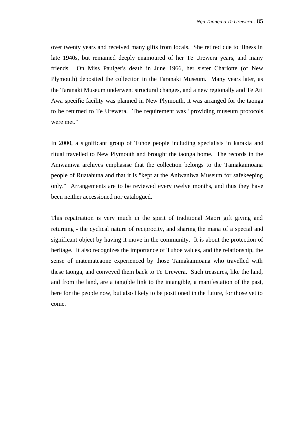over twenty years and received many gifts from locals. She retired due to illness in late 1940s, but remained deeply enamoured of her Te Urewera years, and many friends. On Miss Paulger's death in June 1966, her sister Charlotte (of New Plymouth) deposited the collection in the Taranaki Museum. Many years later, as the Taranaki Museum underwent structural changes, and a new regionally and Te Ati Awa specific facility was planned in New Plymouth, it was arranged for the taonga to be returned to Te Urewera. The requirement was "providing museum protocols were met."

In 2000, a significant group of Tuhoe people including specialists in karakia and ritual travelled to New Plymouth and brought the taonga home. The records in the Aniwaniwa archives emphasise that the collection belongs to the Tamakaimoana people of Ruatahuna and that it is "kept at the Aniwaniwa Museum for safekeeping only." Arrangements are to be reviewed every twelve months, and thus they have been neither accessioned nor catalogued.

This repatriation is very much in the spirit of traditional Maori gift giving and returning - the cyclical nature of reciprocity, and sharing the mana of a special and significant object by having it move in the community. It is about the protection of heritage. It also recognizes the importance of Tuhoe values, and the relationship, the sense of matemateaone experienced by those Tamakaimoana who travelled with these taonga, and conveyed them back to Te Urewera. Such treasures, like the land, and from the land, are a tangible link to the intangible, a manifestation of the past, here for the people now, but also likely to be positioned in the future, for those yet to come.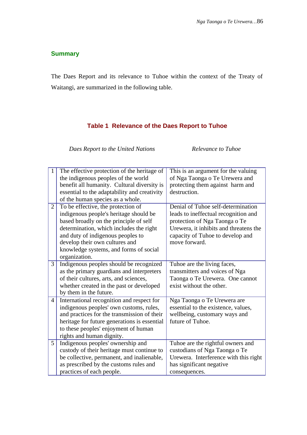## **Summary**

The Daes Report and its relevance to Tuhoe within the context of the Treaty of Waitangi, are summarized in the following table.

## **Table 1 Relevance of the Daes Report to Tuhoe**

*Daes Report to the United Nations Relevance to Tuhoe*

|                | The effective protection of the heritage of  | This is an argument for the valuing    |
|----------------|----------------------------------------------|----------------------------------------|
|                | the indigenous peoples of the world          | of Nga Taonga o Te Urewera and         |
|                | benefit all humanity. Cultural diversity is  | protecting them against harm and       |
|                | essential to the adaptability and creativity | destruction.                           |
|                | of the human species as a whole.             |                                        |
| 2              | To be effective, the protection of           | Denial of Tuhoe self-determination     |
|                | indigenous people's heritage should be       | leads to ineffectual recognition and   |
|                | based broadly on the principle of self       | protection of Nga Taonga o Te          |
|                | determination, which includes the right      | Urewera, it inhibits and threatens the |
|                | and duty of indigenous peoples to            | capacity of Tuhoe to develop and       |
|                | develop their own cultures and               | move forward.                          |
|                | knowledge systems, and forms of social       |                                        |
|                | organization.                                |                                        |
| 3              | Indigenous peoples should be recognized      | Tuhoe are the living faces,            |
|                | as the primary guardians and interpreters    | transmitters and voices of Nga         |
|                | of their cultures, arts, and sciences,       | Taonga o Te Urewera. One cannot        |
|                | whether created in the past or developed     | exist without the other.               |
|                | by them in the future.                       |                                        |
| $\overline{4}$ | International recognition and respect for    | Nga Taonga o Te Urewera are            |
|                | indigenous peoples' own customs, rules,      | essential to the existence, values,    |
|                | and practices for the transmission of their  | wellbeing, customary ways and          |
|                | heritage for future generations is essential | future of Tuhoe.                       |
|                | to these peoples' enjoyment of human         |                                        |
|                | rights and human dignity.                    |                                        |
| $5^{\circ}$    | Indigenous peoples' ownership and            | Tuhoe are the rightful owners and      |
|                | custody of their heritage must continue to   | custodians of Nga Taonga o Te          |
|                | be collective, permanent, and inalienable,   | Urewera. Interference with this right  |
|                | as prescribed by the customs rules and       | has significant negative               |
|                | practices of each people.                    | consequences.                          |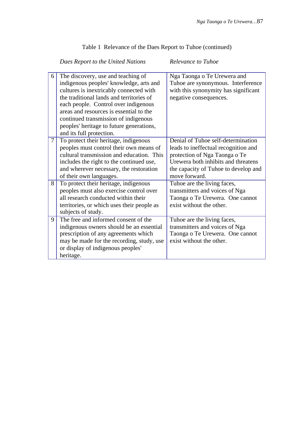## Table 1 Relevance of the Daes Report to Tuhoe (continued)

## *Daes Report to the United Nations Relevance to Tuhoe*

| 6 | The discovery, use and teaching of         | Nga Taonga o Te Urewera and          |
|---|--------------------------------------------|--------------------------------------|
|   | indigenous peoples' knowledge, arts and    | Tuhoe are synonymous. Interference   |
|   | cultures is inextricably connected with    | with this synonymity has significant |
|   | the traditional lands and territories of   | negative consequences.               |
|   | each people. Control over indigenous       |                                      |
|   | areas and resources is essential to the    |                                      |
|   | continued transmission of indigenous       |                                      |
|   | peoples' heritage to future generations,   |                                      |
|   | and its full protection.                   |                                      |
| 7 | To protect their heritage, indigenous      | Denial of Tuhoe self-determination   |
|   | peoples must control their own means of    | leads to ineffectual recognition and |
|   | cultural transmission and education. This  | protection of Nga Taonga o Te        |
|   | includes the right to the continued use,   | Urewera both inhibits and threatens  |
|   | and wherever necessary, the restoration    | the capacity of Tuhoe to develop and |
|   | of their own languages.                    | move forward.                        |
| 8 | To protect their heritage, indigenous      | Tuhoe are the living faces,          |
|   | peoples must also exercise control over    | transmitters and voices of Nga       |
|   | all research conducted within their        | Taonga o Te Urewera. One cannot      |
|   | territories, or which uses their people as | exist without the other.             |
|   | subjects of study.                         |                                      |
| 9 | The free and informed consent of the       | Tuhoe are the living faces,          |
|   | indigenous owners should be an essential   | transmitters and voices of Nga       |
|   | prescription of any agreements which       | Taonga o Te Urewera. One cannot      |
|   | may be made for the recording, study, use  | exist without the other.             |
|   | or display of indigenous peoples'          |                                      |
|   | heritage.                                  |                                      |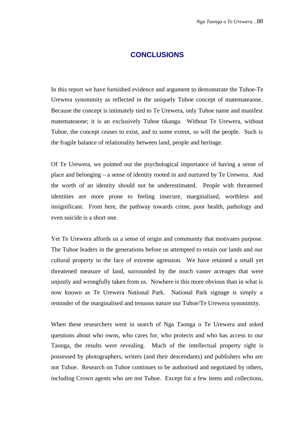## **CONCLUSIONS**

In this report we have furnished evidence and argument to demonstrate the Tuhoe-Te Urewera synonimity as reflected in the uniquely Tuhoe concept of matemateaone. Because the concept is intimately tied to Te Urewera, only Tuhoe name and manifest matemateaone; it is an exclusively Tuhoe tikanga. Without Te Urewera, without Tuhoe, the concept ceases to exist, and to some extent, so will the people. Such is the fragile balance of relationality between land, people and heritage.

Of Te Urewera, we pointed out the psychological importance of having a sense of place and belonging – a sense of identity rooted in and nurtured by Te Urewera. And the worth of an identity should not be underestimated. People with threatened identities are more prone to feeling insecure, marginalised, worthless and insignificant. From here, the pathway towards crime, poor health, pathology and even suicide is a short one.

Yet Te Urewera affords us a sense of origin and community that motivates purpose. The Tuhoe leaders in the generations before us attempted to retain our lands and our cultural property in the face of extreme agression. We have retained a small yet threatened measure of land, surrounded by the much vaster acreages that were unjustly and wrongfully taken from us. Nowhere is this more obvious than in what is now known as Te Urewera National Park. National Park signage is simply a reminder of the marginalised and tenuous nature our Tuhoe/Te Urewera synonimity.

When these researchers went in search of Nga Taonga o Te Urewera and asked questions about who owns, who cares for, who protects and who has access to our Taonga, the results were revealing. Much of the intellectual property right is possessed by photographers, writers (and their descendants) and publishers who are not Tuhoe. Research on Tuhoe continues to be authorised and negotiated by others, including Crown agents who are not Tuhoe. Except for a few items and collections,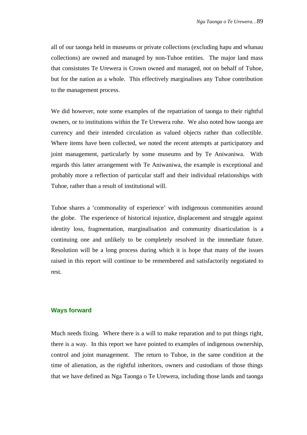all of our taonga held in museums or private collections (excluding hapu and whanau collections) are owned and managed by non-Tuhoe entities. The major land mass that consistutes Te Urewera is Crown owned and managed, not on behalf of Tuhoe, but for the nation as a whole. This effectively marginalises any Tuhoe contribution to the management process.

We did however, note some examples of the repatriation of taonga to their rightful owners, or to institutions within the Te Urewera rohe. We also noted how taonga are currency and their intended circulation as valued objects rather than collectible. Where items have been collected, we noted the recent attempts at participatory and joint management, particularly by some museums and by Te Aniwaniwa. With regards this latter arrangement with Te Aniwaniwa, the example is exceptional and probably more a reflection of particular staff and their individual relationships with Tuhoe, rather than a result of institutional will.

Tuhoe shares a 'commonality of experience' with indigenous communities around the globe. The experience of historical injustice, displacement and struggle against identity loss, fragmentation, marginalisation and community disarticulation is a continuing one and unlikely to be completely resolved in the immediate future. Resolution will be a long process during which it is hope that many of the issues raised in this report will continue to be remembered and satisfactorily negotiated to rest.

### **Ways forward**

Much needs fixing. Where there is a will to make reparation and to put things right, there is a way. In this report we have pointed to examples of indigenous ownership, control and joint management. The return to Tuhoe, in the same condition at the time of alienation, as the rightful inheritors, owners and custodians of those things that we have defined as Nga Taonga o Te Urewera, including those lands and taonga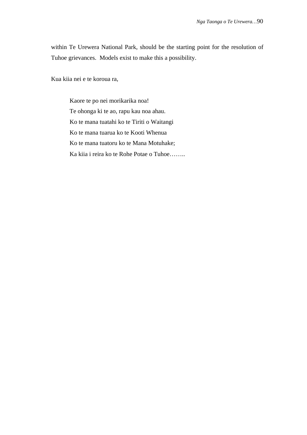within Te Urewera National Park, should be the starting point for the resolution of Tuhoe grievances. Models exist to make this a possibility.

Kua kiia nei e te koroua ra,

Kaore te po nei morikarika noa! Te ohonga ki te ao, rapu kau noa ahau. Ko te mana tuatahi ko te Tiriti o Waitangi Ko te mana tuarua ko te Kooti Whenua Ko te mana tuatoru ko te Mana Motuhake; Ka kiia i reira ko te Rohe Potae o Tuhoe……..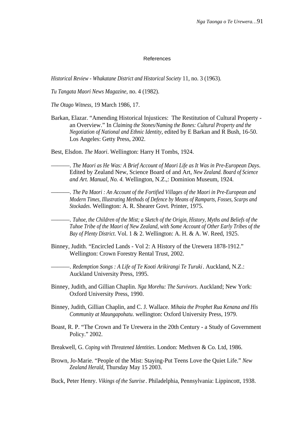#### References

*Historical Review - Whakatane District and Historical Society* 11, no. 3 (1963).

*Tu Tangata Maori News Magazine*, no. 4 (1982).

*The Otago Witness*, 19 March 1986, 17.

Barkan, Elazar. "Amending Historical Injustices: The Restitution of Cultural Property an Overview." In *Claiming the Stones/Naming the Bones: Cultural Property and the Negotiation of National and Ethnic Identity*, edited by E Barkan and R Bush, 16-50. Los Angeles: Getty Press, 2002.

Best, Elsdon. *The Maori*. Wellington: Harry H Tombs, 1924.

———. *The Maori as He Was: A Brief Account of Maori Life as It Was in Pre-European Days*. Edited by Zealand New, Science Board of and Art, *New Zealand. Board of Science and Art. Manual, No. 4.* Wellington, N.Z.,: Dominion Museum, 1924.

———. *The Pa Maori : An Account of the Fortified Villages of the Maori in Pre-European and Modern Times, Illustrating Methods of Defence by Means of Ramparts, Fosses, Scarps and Stockades*. Wellington: A. R. Shearer Govt. Printer, 1975.

———. *Tuhoe, the Children of the Mist; a Sketch of the Origin, History, Myths and Beliefs of the Tuhoe Tribe of the Maori of New Zealand, with Some Account of Other Early Tribes of the Bay of Plenty District*. Vol. 1 & 2. Wellington: A. H. & A. W. Reed, 1925.

Binney, Judith. "Encircled Lands - Vol 2: A History of the Urewera 1878-1912." Wellington: Crown Forestry Rental Trust, 2002.

———. *Redemption Songs : A Life of Te Kooti Arikirangi Te Turuki*. Auckland, N.Z.: Auckland University Press, 1995.

- Binney, Judith, and Gillian Chaplin. *Nga Morehu: The Survivors*. Auckland; New York: Oxford University Press, 1990.
- Binney, Judith, Gillian Chaplin, and C. J. Wallace. *Mihaia the Prophet Rua Kenana and His Community at Maungapohatu*. wellington: Oxford University Press, 1979.
- Boast, R. P. "The Crown and Te Urewera in the 20th Century a Study of Government Policy." 2002.
- Breakwell, G. *Coping with Threatened Identities*. London: Methven & Co. Ltd, 1986.
- Brown, Jo-Marie. "People of the Mist: Staying-Put Teens Love the Quiet Life." *New Zealand Herald*, Thursday May 15 2003.

Buck, Peter Henry. *Vikings of the Sunrise*. Philadelphia, Pennsylvania: Lippincott, 1938.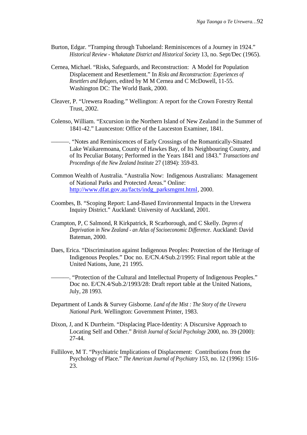- Burton, Edgar. "Tramping through Tuhoeland: Reminiscences of a Journey in 1924." *Historical Review - Whakatane District and Historical Society* 13, no. Sept/Dec (1965).
- Cernea, Michael. "Risks, Safeguards, and Reconstruction: A Model for Population Displacement and Resettlement." In *Risks and Reconstruction: Experiences of Resettlers and Refugees*, edited by M M Cernea and C McDowell, 11-55. Washington DC: The World Bank, 2000.
- Cleaver, P. "Urewera Roading." Wellington: A report for the Crown Forestry Rental Trust, 2002.
- Colenso, William. "Excursion in the Northern Island of New Zealand in the Summer of 1841-42." Launceston: Office of the Lauceston Examiner, 1841.
	- ———. "Notes and Reminiscences of Early Crossings of the Romantically-Situated Lake Waikaremoana, County of Hawkes Bay, of Its Neighbouring Country, and of Its Peculiar Botany; Performed in the Years 1841 and 1843." *Transactions and Proceedings of the New Zealand Institute* 27 (1894): 359-83.
- Common Wealth of Australia. "Australia Now: Indigenous Australians: Management of National Parks and Protected Areas." Online: [http://www.dfat.gov.au/facts/indg\\_parksmgmt.html](http://www.dfat.gov.au/facts/indg_parksmgmt.html), 2000.
- Coombes, B. "Scoping Report: Land-Based Environmental Impacts in the Urewera Inquiry District." Auckland: University of Auckland, 2001.
- Crampton, P, C Salmond, R Kirkpatrick, R Scarborough, and C Skelly. *Degrees of Deprivation in New Zealand - an Atlas of Socioeconomic Difference*. Auckland: David Bateman, 2000.
- Daes, Erica. "Discrimination against Indigenous Peoples: Protection of the Heritage of Indigenous Peoples." Doc no. E/CN.4/Sub.2/1995: Final report table at the United Nations, June, 21 1995.

-. "Protection of the Cultural and Intellectual Property of Indigenous Peoples." Doc no. E/CN.4/Sub.2/1993/28: Draft report table at the United Nations, July, 28 1993.

- Department of Lands & Survey Gisborne. *Land of the Mist : The Story of the Urewera National Park*. Wellington: Government Printer, 1983.
- Dixon, J, and K Durrheim. "Displacing Place-Identity: A Discursive Approach to Locating Self and Other." *British Journal of Social Psychology* 2000, no. 39 (2000): 27-44.
- Fullilove, M T. "Psychiatric Implications of Displacement: Contributions from the Psychology of Place." *The American Journal of Psychiatry* 153, no. 12 (1996): 1516- 23.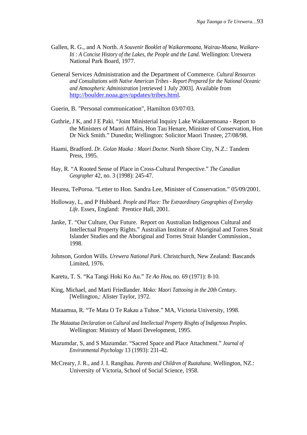- Gallen, R. G., and A North. *A Souvenir Booklet of Waikaremoana, Wairau-Moana, Waikare-Iti : A Concise History of the Lakes, the People and the Land*. Wellington: Urewera National Park Board, 1977.
- General Services Administration and the Department of Commerce. *Cultural Resources and Consultations with Native American Tribes - Report Prepared for the National Oceanic and Atmospheric Administration* [retrieved 1 July 2003]. Available from <http://boulder.noaa.gov/updates/tribes.html>.
- Guerin, B. "Personal communication", Hamilton 03/07/03.
- Guthrie, J K, and J E Paki. "Joint Ministerial Inquiry Lake Waikaremoana Report to the Ministers of Maori Affairs, Hon Tau Henare, Minister of Conservation, Hon Dr Nick Smith." Dunedin; Wellington: Solicitor Maori Trustee, 27/08/98.
- Haami, Bradford. *Dr. Golan Maaka : Maori Doctor*. North Shore City, N.Z.: Tandem Press, 1995.
- Hay, R. "A Rooted Sense of Place in Cross-Cultural Perspective." *The Canadian Geographer* 42, no. 3 (1998): 245-47.
- Heurea, TePoroa. "Letter to Hon. Sandra Lee, Minister of Conservation." 05/09/2001.
- Holloway, L, and P Hubbard. *People and Place: The Extraordinary Geographies of Everyday Life*. Essex, England: Prentice Hall, 2001.
- Janke, T. "Our Culture, Our Future. Report on Australian Indigenous Cultural and Intellectual Property Rights." Australian Institute of Aboriginal and Torres Strait Islander Studies and the Aboriginal and Torres Strait Islander Commission., 1998.
- Johnson, Gordon Wills. *Urewera National Park*. Christchurch, New Zealand: Bascands Limited, 1976.
- Karetu, T. S. "Ka Tangi Hoki Ko Au." *Te Ao Hou*, no. 69 (1971): 8-10.
- King, Michael, and Marti Friedlander. *Moko: Maori Tattooing in the 20th Century*. [Wellington,: Alister Taylor, 1972.
- Mataamua, R. "Te Mata O Te Rakau a Tuhoe." MA, Victoria University, 1998.
- *The Mataatua Declaration on Cultural and Intellectual Property Risghts of Indigenous Peoples*. Wellington: Ministry of Maori Development, 1995.
- Mazumdar, S, and S Mazumdar. "Sacred Space and Place Attachment." *Journal of Environmental Psychology* 13 (1993): 231-42.
- McCreary, J. R., and J. I. Rangihau. *Parents and Children of Ruatahuna*. Wellington, NZ.: University of Victoria, School of Social Science, 1958.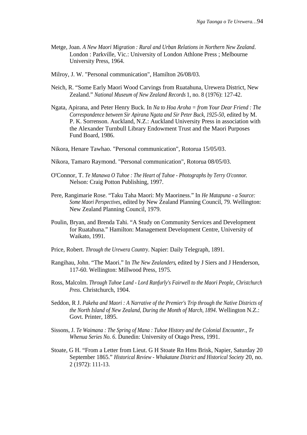- Metge, Joan. *A New Maori Migration : Rural and Urban Relations in Northern New Zealand*. London : Parkville, Vic.: University of London Athlone Press ; Melbourne University Press, 1964.
- Milroy, J. W. "Personal communication", Hamilton 26/08/03.
- Neich, R. "Some Early Maori Wood Carvings from Ruatahuna, Urewera District, New Zealand." *National Museum of New Zealand Records* 1, no. 8 (1976): 127-42.
- Ngata, Apirana, and Peter Henry Buck. In *Na to Hoa Aroha = from Your Dear Friend : The Correspondence between Sir Apirana Ngata and Sir Peter Buck, 1925-50*, edited by M. P. K. Sorrenson. Auckland, N.Z.: Auckland University Press in association with the Alexander Turnbull Library Endowment Trust and the Maori Purposes Fund Board, 1986.
- Nikora, Henare Tawhao. "Personal communication", Rotorua 15/05/03.
- Nikora, Tamaro Raymond. "Personal communication", Rotorua 08/05/03.
- O'Connor, T. *Te Manawa O Tuhoe : The Heart of Tuhoe Photographs by Terry O'connor*. Nelson: Craig Potton Publishing, 1997.
- Pere, Rangimarie Rose. "Taku Taha Maori: My Maoriness." In *He Matapuna a Source: Some Maori Perspectives*, edited by New Zealand Planning Council, 79. Wellington: New Zealand Planning Council, 1979.
- Poulin, Bryan, and Brenda Tahi. "A Study on Community Services and Development for Ruatahuna." Hamilton: Management Development Centre, University of Waikato, 1991.
- Price, Robert. *Through the Urewera Country*. Napier: Daily Telegraph, 1891.
- Rangihau, John. "The Maori." In *The New Zealanders*, edited by J Siers and J Henderson, 117-60. Wellington: Millwood Press, 1975.
- Ross, Malcolm. *Through Tuhoe Land Lord Ranfurly's Fairwell to the Maori People*, *Christchurch Press*. Christchurch, 1904.
- Seddon, R J. *Pakeha and Maori : A Narrative of the Premier's Trip through the Native Districts of the North Island of New Zealand, During the Month of March, 1894*. Wellington N.Z.: Govt. Printer, 1895.
- Sissons, J. *Te Waimana : The Spring of Mana : Tuhoe History and the Colonial Encounter.*, *Te Whenua Series No. 6*. Dunedin: University of Otago Press, 1991.
- Stoate, G H. "From a Letter from Lieut. G H Stoate Rn Hms Brisk, Napier, Saturday 20 September 1865." *Historical Review - Whakatane District and Historical Society* 20, no. 2 (1972): 111-13.